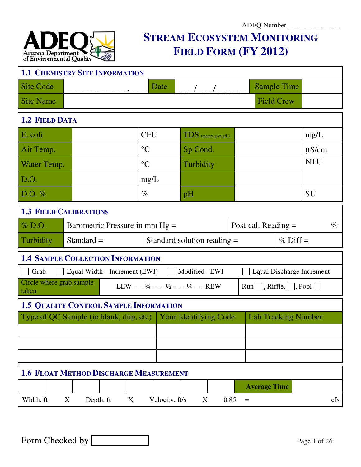### $ADEQ$  Number  $\_\_$   $\_\_$   $\_\_$ **STREAM ECOSYSTEM MONITORING FIELD FORM (FY 2012)**

| <b>1.1 CHEMISTRY SITE INFORMATION</b>                          |              |                                  |                                                                         |                |                               |                            |                               |                                    |                    |                                  |  |  |
|----------------------------------------------------------------|--------------|----------------------------------|-------------------------------------------------------------------------|----------------|-------------------------------|----------------------------|-------------------------------|------------------------------------|--------------------|----------------------------------|--|--|
| <b>Site Code</b>                                               |              |                                  | Date                                                                    |                |                               |                            |                               |                                    | <b>Sample Time</b> |                                  |  |  |
| <b>Site Name</b>                                               |              |                                  |                                                                         |                |                               |                            |                               | <b>Field Crew</b>                  |                    |                                  |  |  |
| <b>1.2 FIELD DATA</b>                                          |              |                                  |                                                                         |                |                               |                            |                               |                                    |                    |                                  |  |  |
| E. coli                                                        |              |                                  | <b>CFU</b>                                                              |                |                               | $TDS$ (meters give $g/L$ ) |                               |                                    |                    | mg/L                             |  |  |
| Air Temp.                                                      |              |                                  | $\rm ^{\circ}C$                                                         |                | Sp Cond.                      |                            |                               |                                    |                    | $\mu$ S/cm                       |  |  |
| Water Temp.                                                    |              |                                  | $\rm ^{\circ}C$                                                         |                | Turbidity                     |                            |                               |                                    |                    | <b>NTU</b>                       |  |  |
| D.O.                                                           |              |                                  | mg/L                                                                    |                |                               |                            |                               |                                    |                    |                                  |  |  |
| D.O. $%$                                                       |              |                                  | $\%$                                                                    |                | pH                            |                            |                               |                                    |                    | <b>SU</b>                        |  |  |
| <b>1.3 FIELD CALIBRATIONS</b>                                  |              |                                  |                                                                         |                |                               |                            |                               |                                    |                    |                                  |  |  |
| $\%$ D.O.                                                      |              | Barometric Pressure in mm $Hg =$ |                                                                         |                |                               |                            | Post-cal. Reading $=$<br>$\%$ |                                    |                    |                                  |  |  |
| Turbidity                                                      | Standard $=$ |                                  |                                                                         |                | Standard solution reading $=$ |                            |                               |                                    | $%$ Diff =         |                                  |  |  |
| <b>1.4 SAMPLE COLLECTION INFORMATION</b>                       |              |                                  |                                                                         |                |                               |                            |                               |                                    |                    |                                  |  |  |
| Grab                                                           |              | Equal Width Increment (EWI)      |                                                                         |                | Modified EWI                  |                            |                               |                                    |                    | <b>Equal Discharge Increment</b> |  |  |
| Circle where grab sample<br>taken                              |              |                                  | LEW----- $\frac{3}{4}$ ----- $\frac{1}{2}$ ----- $\frac{1}{4}$ -----REW |                |                               |                            |                               | Run $\Box$ , Riffle, $\Box$ , Pool |                    |                                  |  |  |
| <b>1.5 QUALITY CONTROL SAMPLE INFORMATION</b>                  |              |                                  |                                                                         |                |                               |                            |                               |                                    |                    |                                  |  |  |
| Type of QC Sample (ie blank, dup, etc)   Your Identifying Code |              |                                  |                                                                         |                |                               |                            |                               | <b>Lab Tracking Number</b>         |                    |                                  |  |  |
|                                                                |              |                                  |                                                                         |                |                               |                            |                               |                                    |                    |                                  |  |  |
|                                                                |              |                                  |                                                                         |                |                               |                            |                               |                                    |                    |                                  |  |  |
|                                                                |              |                                  |                                                                         |                |                               |                            |                               |                                    |                    |                                  |  |  |
| <b>1.6 FLOAT METHOD DISCHARGE MEASUREMENT</b>                  |              |                                  |                                                                         |                |                               |                            |                               |                                    |                    |                                  |  |  |
|                                                                |              |                                  |                                                                         |                |                               |                            |                               | <b>Average Time</b>                |                    |                                  |  |  |
| Width, ft                                                      | X            | Depth, ft<br>X                   |                                                                         | Velocity, ft/s | X                             |                            | 0.85                          | $\equiv$                           |                    | cfs                              |  |  |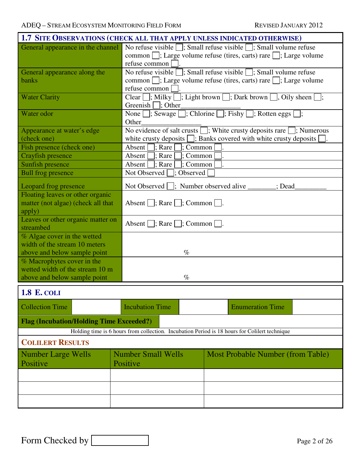|                                                                                  | 1.7 SITE OBSERVATIONS (CHECK ALL THAT APPLY UNLESS INDICATED OTHERWISE)                                                                                                                              |  |  |  |  |  |  |
|----------------------------------------------------------------------------------|------------------------------------------------------------------------------------------------------------------------------------------------------------------------------------------------------|--|--|--|--|--|--|
|                                                                                  | General appearance in the channel No refuse visible $\Box$ ; Small refuse visible $\Box$ ; Small volume refuse<br>common □; Large volume refuse (tires, carts) rare □; Large volume<br>refuse common |  |  |  |  |  |  |
| General appearance along the<br>banks                                            | No refuse visible $\Box$ ; Small refuse visible $\Box$ ; Small volume refuse<br>common □; Large volume refuse (tires, carts) rare □; Large volume<br>refuse common                                   |  |  |  |  |  |  |
| <b>Water Clarity</b>                                                             | Clear $\Box$ ; Milky $\Box$ ; Light brown $\Box$ ; Dark brown $\Box$ , Oily sheen $\Box$ ;<br>Greenish $\Box$ ; Other                                                                                |  |  |  |  |  |  |
| Water odor                                                                       | None $\Box$ ; Sewage $\Box$ ; Chlorine $\Box$ ; Fishy $\Box$ ; Rotten eggs $\Box$ ;<br>Other                                                                                                         |  |  |  |  |  |  |
| Appearance at water's edge<br>(check one)                                        | No evidence of salt crusts $\Box$ ; White crusty deposits rare $\Box$ ; Numerous<br>white crusty deposits $\Box$ ; Banks covered with white crusty deposits [                                        |  |  |  |  |  |  |
| Fish presence (check one)                                                        | Absent $\Box$ ; Rare<br>$\vert$ : Common                                                                                                                                                             |  |  |  |  |  |  |
| Crayfish presence                                                                | Absent  <br>$\vert$ ; Rare<br>: Common                                                                                                                                                               |  |  |  |  |  |  |
| Sunfish presence                                                                 | Absent $\Box$ ; Rare $\Box$<br>$\Box$ ; Common                                                                                                                                                       |  |  |  |  |  |  |
| <b>Bull frog presence</b>                                                        | Not Observed<br>: Observed                                                                                                                                                                           |  |  |  |  |  |  |
| Leopard frog presence                                                            | Not Observed : Number observed alive<br>: Dead                                                                                                                                                       |  |  |  |  |  |  |
| Floating leaves or other organic<br>matter (not algae) (check all that<br>apply) | Absent $\Box$ ; Rare $\Box$ ; Common $\Box$                                                                                                                                                          |  |  |  |  |  |  |
| Leaves or other organic matter on<br>streambed                                   | Absent $\Box$ ; Rare $\Box$ ; Common $\Box$                                                                                                                                                          |  |  |  |  |  |  |
| % Algae cover in the wetted<br>width of the stream 10 meters                     |                                                                                                                                                                                                      |  |  |  |  |  |  |
| above and below sample point                                                     | $\%$                                                                                                                                                                                                 |  |  |  |  |  |  |
| % Macrophytes cover in the                                                       |                                                                                                                                                                                                      |  |  |  |  |  |  |
| wetted width of the stream 10 m                                                  |                                                                                                                                                                                                      |  |  |  |  |  |  |
| above and below sample point                                                     | $\%$                                                                                                                                                                                                 |  |  |  |  |  |  |
| <b>1.8 E. COLI</b>                                                               |                                                                                                                                                                                                      |  |  |  |  |  |  |
| <b>Collection Time</b>                                                           | <b>Incubation Time</b><br><b>Enumeration Time</b>                                                                                                                                                    |  |  |  |  |  |  |
|                                                                                  |                                                                                                                                                                                                      |  |  |  |  |  |  |
| <b>Flag (Incubation/Holding Time Exceeded?)</b>                                  | Holding time is 6 hours from collection. Incubation Period is 18 hours for Colilert technique                                                                                                        |  |  |  |  |  |  |
| <b>COLILERT RESULTS</b>                                                          |                                                                                                                                                                                                      |  |  |  |  |  |  |
|                                                                                  |                                                                                                                                                                                                      |  |  |  |  |  |  |
| <b>Number Large Wells</b><br>Positive                                            | <b>Number Small Wells</b><br>Most Probable Number (from Table)<br>Positive                                                                                                                           |  |  |  |  |  |  |
|                                                                                  |                                                                                                                                                                                                      |  |  |  |  |  |  |
|                                                                                  |                                                                                                                                                                                                      |  |  |  |  |  |  |
|                                                                                  |                                                                                                                                                                                                      |  |  |  |  |  |  |
|                                                                                  |                                                                                                                                                                                                      |  |  |  |  |  |  |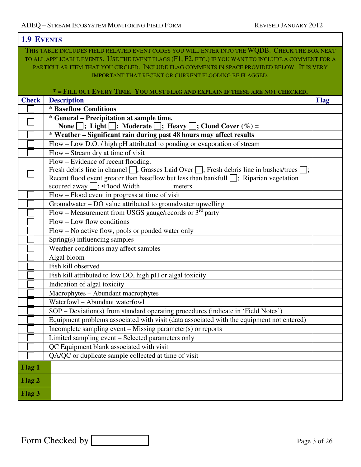$\mathsf{r}$ 

٦

| <b>1.9 EVENTS</b> |                                                                                                             |             |
|-------------------|-------------------------------------------------------------------------------------------------------------|-------------|
|                   | THIS TABLE INCLUDES FIELD RELATED EVENT CODES YOU WILL ENTER INTO THE WODB. CHECK THE BOX NEXT              |             |
|                   | TO ALL APPLICABLE EVENTS. USE THE EVENT FLAGS (F1, F2, ETC.) IF YOU WANT TO INCLUDE A COMMENT FOR A         |             |
|                   | PARTICULAR ITEM THAT YOU CIRCLED. INCLUDE FLAG COMMENTS IN SPACE PROVIDED BELOW. IT IS VERY                 |             |
|                   | <b>IMPORTANT THAT RECENT OR CURRENT FLOODING BE FLAGGED.</b>                                                |             |
|                   |                                                                                                             |             |
|                   | * = FILL OUT EVERY TIME. YOU MUST FLAG AND EXPLAIN IF THESE ARE NOT CHECKED.                                |             |
| <b>Check</b>      | <b>Description</b>                                                                                          | <b>Flag</b> |
|                   | * Baseflow Conditions                                                                                       |             |
|                   | * General – Precipitation at sample time.                                                                   |             |
|                   | None $\Box$ ; Light $\Box$ ; Moderate $\Box$ ; Heavy $\Box$ ; Cloud Cover $(\%)$ =                          |             |
|                   | * Weather - Significant rain during past 48 hours may affect results                                        |             |
|                   | Flow - Low D.O. / high pH attributed to ponding or evaporation of stream                                    |             |
|                   | Flow – Stream dry at time of visit                                                                          |             |
|                   | Flow – Evidence of recent flooding.                                                                         |             |
|                   | Fresh debris line in channel $\Box$ , Grasses Laid Over $\Box$ ; Fresh debris line in bushes/trees $\Box$ ; |             |
|                   | Recent flood event greater than baseflow but less than bankfull $\Box$ ; Riparian vegetation                |             |
|                   | scoured away $\Box$ ; • Flood Width<br>meters.                                                              |             |
|                   | Flow – Flood event in progress at time of visit                                                             |             |
|                   | Groundwater - DO value attributed to groundwater upwelling                                                  |             |
|                   | Flow – Measurement from USGS gauge/records or $3^{rd}$ party                                                |             |
|                   | $Flow$ – Low flow conditions                                                                                |             |
|                   | Flow – No active flow, pools or ponded water only                                                           |             |
|                   | Spring(s) influencing samples                                                                               |             |
|                   | Weather conditions may affect samples                                                                       |             |
|                   | Algal bloom                                                                                                 |             |
|                   | Fish kill observed                                                                                          |             |
|                   | Fish kill attributed to low DO, high pH or algal toxicity                                                   |             |
|                   | Indication of algal toxicity                                                                                |             |
|                   | Macrophytes - Abundant macrophytes                                                                          |             |
|                   | Waterfowl - Abundant waterfowl                                                                              |             |
|                   | SOP – Deviation(s) from standard operating procedures (indicate in 'Field Notes')                           |             |
|                   | Equipment problems associated with visit (data associated with the equipment not entered)                   |             |
|                   | Incomplete sampling event – Missing parameter(s) or reports                                                 |             |
|                   | Limited sampling event - Selected parameters only                                                           |             |
|                   | QC Equipment blank associated with visit                                                                    |             |
|                   | QA/QC or duplicate sample collected at time of visit                                                        |             |
| Flag 1            |                                                                                                             |             |
| Flag 2            |                                                                                                             |             |
| Flag 3            |                                                                                                             |             |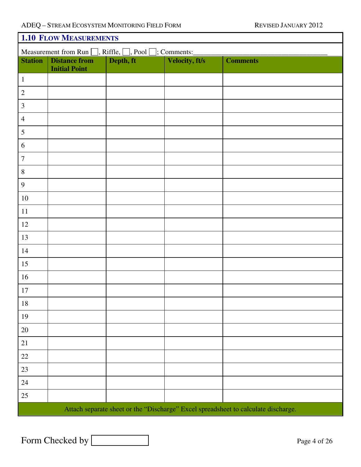| <b>1.10 FLOW MEASUREMENTS</b>                                          |                      |           |                       |                                                                                    |  |  |  |  |  |  |
|------------------------------------------------------------------------|----------------------|-----------|-----------------------|------------------------------------------------------------------------------------|--|--|--|--|--|--|
| Measurement from Run $\Box$ , Riffle, $\Box$ , Pool $\Box$ ; Comments: |                      |           |                       |                                                                                    |  |  |  |  |  |  |
| <b>Station</b>                                                         | <b>Distance from</b> | Depth, ft | <b>Velocity, ft/s</b> | <b>Comments</b>                                                                    |  |  |  |  |  |  |
| $\mathbf{1}$                                                           | <b>Initial Point</b> |           |                       |                                                                                    |  |  |  |  |  |  |
|                                                                        |                      |           |                       |                                                                                    |  |  |  |  |  |  |
| $\sqrt{2}$                                                             |                      |           |                       |                                                                                    |  |  |  |  |  |  |
| $\overline{3}$                                                         |                      |           |                       |                                                                                    |  |  |  |  |  |  |
| $\overline{4}$                                                         |                      |           |                       |                                                                                    |  |  |  |  |  |  |
| 5                                                                      |                      |           |                       |                                                                                    |  |  |  |  |  |  |
| 6                                                                      |                      |           |                       |                                                                                    |  |  |  |  |  |  |
| $\boldsymbol{7}$                                                       |                      |           |                       |                                                                                    |  |  |  |  |  |  |
| $\,8\,$                                                                |                      |           |                       |                                                                                    |  |  |  |  |  |  |
| 9                                                                      |                      |           |                       |                                                                                    |  |  |  |  |  |  |
| $10\,$                                                                 |                      |           |                       |                                                                                    |  |  |  |  |  |  |
| 11                                                                     |                      |           |                       |                                                                                    |  |  |  |  |  |  |
| $12\,$                                                                 |                      |           |                       |                                                                                    |  |  |  |  |  |  |
| 13                                                                     |                      |           |                       |                                                                                    |  |  |  |  |  |  |
| 14                                                                     |                      |           |                       |                                                                                    |  |  |  |  |  |  |
| 15                                                                     |                      |           |                       |                                                                                    |  |  |  |  |  |  |
| 16                                                                     |                      |           |                       |                                                                                    |  |  |  |  |  |  |
| 17                                                                     |                      |           |                       |                                                                                    |  |  |  |  |  |  |
| $18\,$                                                                 |                      |           |                       |                                                                                    |  |  |  |  |  |  |
| 19                                                                     |                      |           |                       |                                                                                    |  |  |  |  |  |  |
| $20\,$                                                                 |                      |           |                       |                                                                                    |  |  |  |  |  |  |
| 21                                                                     |                      |           |                       |                                                                                    |  |  |  |  |  |  |
| 22                                                                     |                      |           |                       |                                                                                    |  |  |  |  |  |  |
| 23                                                                     |                      |           |                       |                                                                                    |  |  |  |  |  |  |
| 24                                                                     |                      |           |                       |                                                                                    |  |  |  |  |  |  |
| 25                                                                     |                      |           |                       |                                                                                    |  |  |  |  |  |  |
|                                                                        |                      |           |                       | Attach separate sheet or the "Discharge" Excel spreadsheet to calculate discharge. |  |  |  |  |  |  |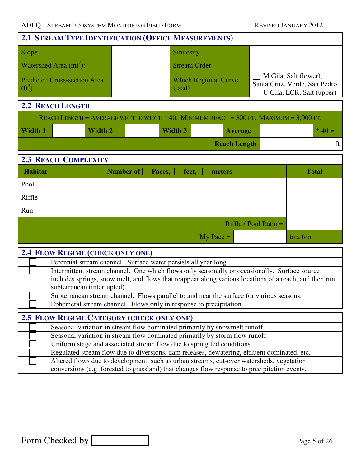| 2.1 STREAM TYPE IDENTIFICATION (OFFICE MEASUREMENTS)                                    |                                     |                                             |           |                                      |                         |  |                                                                                    |  |  |  |  |
|-----------------------------------------------------------------------------------------|-------------------------------------|---------------------------------------------|-----------|--------------------------------------|-------------------------|--|------------------------------------------------------------------------------------|--|--|--|--|
| Slope                                                                                   |                                     |                                             | Sinuosity |                                      |                         |  |                                                                                    |  |  |  |  |
|                                                                                         | Watershed Area $(m2)$ :             |                                             |           | <b>Stream Order</b>                  |                         |  |                                                                                    |  |  |  |  |
| $(ft^2)$                                                                                | <b>Predicted Cross-section Area</b> |                                             |           | <b>Which Regional Curve</b><br>Used? |                         |  | M Gila, Salt (lower),<br>Santa Cruz, Verde, San Pedro<br>U Gila, LCR, Salt (upper) |  |  |  |  |
|                                                                                         | <b>2.2 REACH LENGTH</b>             |                                             |           |                                      |                         |  |                                                                                    |  |  |  |  |
| REACH LENGTH = AVERAGE WETTED WIDTH $*$ 40. MINIMUM REACH = 300 FT. MAXIMUM = 3,000 FT. |                                     |                                             |           |                                      |                         |  |                                                                                    |  |  |  |  |
| <b>Width 1</b>                                                                          | <b>Width 2</b>                      |                                             | Width 3   | <b>Average</b>                       |                         |  | $* 40 =$                                                                           |  |  |  |  |
|                                                                                         | <b>Reach Length</b><br>ft           |                                             |           |                                      |                         |  |                                                                                    |  |  |  |  |
|                                                                                         | <b>2.3 REACH COMPLEXITY</b>         |                                             |           |                                      |                         |  |                                                                                    |  |  |  |  |
| <b>Habitat</b>                                                                          |                                     | Number of $\Box$ Paces, $\Box$ feet, $\Box$ |           | meters                               |                         |  | <b>Total</b>                                                                       |  |  |  |  |
| Pool                                                                                    |                                     |                                             |           |                                      |                         |  |                                                                                    |  |  |  |  |
| Riffle                                                                                  |                                     |                                             |           |                                      |                         |  |                                                                                    |  |  |  |  |
| Run                                                                                     |                                     |                                             |           |                                      |                         |  |                                                                                    |  |  |  |  |
|                                                                                         |                                     |                                             |           |                                      | Riffle / Pool Ratio $=$ |  |                                                                                    |  |  |  |  |
|                                                                                         |                                     |                                             |           | $My$ Pace $=$                        |                         |  | to a foot                                                                          |  |  |  |  |
|                                                                                         |                                     |                                             |           |                                      |                         |  |                                                                                    |  |  |  |  |

|  | <b>2.4 FLOW REGIME (CHECK ONLY ONE)</b>                                                               |  |  |  |  |  |  |  |
|--|-------------------------------------------------------------------------------------------------------|--|--|--|--|--|--|--|
|  | Perennial stream channel. Surface water persists all year long.                                       |  |  |  |  |  |  |  |
|  | Intermittent stream channel. One which flows only seasonally or occasionally. Surface source          |  |  |  |  |  |  |  |
|  | includes springs, snow melt, and flows that reappear along various locations of a reach, and then run |  |  |  |  |  |  |  |
|  | subterranean (interrupted).                                                                           |  |  |  |  |  |  |  |
|  | Subterranean stream channel. Flows parallel to and near the surface for various seasons.              |  |  |  |  |  |  |  |
|  | Ephemeral stream channel. Flows only in response to precipitation.                                    |  |  |  |  |  |  |  |
|  |                                                                                                       |  |  |  |  |  |  |  |
|  |                                                                                                       |  |  |  |  |  |  |  |
|  | <b>2.5 FLOW REGIME CATEGORY (CHECK ONLY ONE)</b>                                                      |  |  |  |  |  |  |  |
|  | Seasonal variation in stream flow dominated primarily by snowmelt runoff.                             |  |  |  |  |  |  |  |
|  | Seasonal variation in stream flow dominated primarily by storm flow runoff.                           |  |  |  |  |  |  |  |
|  | Uniform stage and associated stream flow due to spring fed conditions.                                |  |  |  |  |  |  |  |
|  | Regulated stream flow due to diversions, dam releases, dewatering, effluent dominated, etc.           |  |  |  |  |  |  |  |
|  | Altered flows due to development, such as urban streams, cut-over watersheds, vegetation              |  |  |  |  |  |  |  |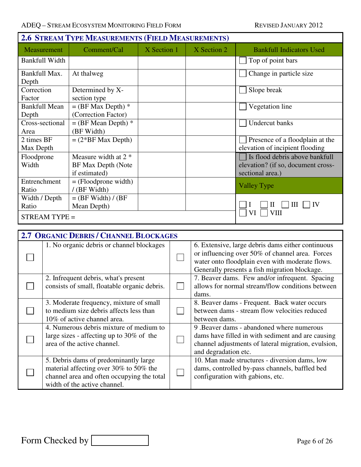| <b>2.6 STREAM TYPE MEASUREMENTS (FIELD MEASUREMENTS)</b> |                       |                                                                                 |             |                                                 |                                                     |                                                   |  |  |  |  |
|----------------------------------------------------------|-----------------------|---------------------------------------------------------------------------------|-------------|-------------------------------------------------|-----------------------------------------------------|---------------------------------------------------|--|--|--|--|
|                                                          | Measurement           | Comment/Cal                                                                     | X Section 1 |                                                 | X Section 2                                         | <b>Bankfull Indicators Used</b>                   |  |  |  |  |
|                                                          | <b>Bankfull Width</b> |                                                                                 |             |                                                 |                                                     | Top of point bars                                 |  |  |  |  |
| Bankfull Max.                                            |                       | At thalweg                                                                      |             |                                                 |                                                     | Change in particle size                           |  |  |  |  |
| Depth                                                    |                       |                                                                                 |             |                                                 |                                                     |                                                   |  |  |  |  |
| Correction                                               |                       | Determined by X-                                                                |             |                                                 |                                                     | Slope break                                       |  |  |  |  |
| Factor                                                   |                       | section type                                                                    |             |                                                 |                                                     |                                                   |  |  |  |  |
|                                                          | <b>Bankfull Mean</b>  | $=$ (BF Max Depth) $*$                                                          |             |                                                 |                                                     | Vegetation line                                   |  |  |  |  |
| Depth                                                    |                       | (Correction Factor)                                                             |             |                                                 |                                                     |                                                   |  |  |  |  |
|                                                          | Cross-sectional       | $=$ (BF Mean Depth) $*$                                                         |             |                                                 |                                                     | Undercut banks                                    |  |  |  |  |
| Area                                                     |                       | (BF Width)                                                                      |             |                                                 |                                                     |                                                   |  |  |  |  |
| 2 times BF                                               |                       | $= (2*BF Max Depth)$                                                            |             |                                                 |                                                     | Presence of a floodplain at the                   |  |  |  |  |
| Max Depth                                                |                       |                                                                                 |             |                                                 |                                                     | elevation of incipient flooding                   |  |  |  |  |
| Floodprone                                               |                       | Measure width at $2$ *                                                          |             |                                                 |                                                     | Is flood debris above bankfull                    |  |  |  |  |
| Width                                                    |                       | <b>BF Max Depth (Note</b>                                                       |             |                                                 |                                                     | elevation? (if so, document cross-                |  |  |  |  |
|                                                          |                       | if estimated)                                                                   |             |                                                 |                                                     | sectional area.)                                  |  |  |  |  |
| Entrenchment                                             |                       | $=$ (Floodprone width)                                                          |             |                                                 |                                                     | <b>Valley Type</b>                                |  |  |  |  |
| Ratio                                                    |                       | / (BF Width)                                                                    |             |                                                 |                                                     |                                                   |  |  |  |  |
| Width / Depth                                            |                       | $=$ (BF Width) / (BF                                                            |             |                                                 |                                                     | IV                                                |  |  |  |  |
| Mean Depth)<br>Ratio                                     |                       |                                                                                 |             |                                                 | Ш<br>Н<br>VI<br><b>VIII</b>                         |                                                   |  |  |  |  |
|                                                          | STREAM TYPE =         |                                                                                 |             |                                                 |                                                     |                                                   |  |  |  |  |
|                                                          |                       |                                                                                 |             |                                                 |                                                     |                                                   |  |  |  |  |
|                                                          |                       | <b>2.7 ORGANIC DEBRIS / CHANNEL BLOCKAGES</b>                                   |             |                                                 |                                                     |                                                   |  |  |  |  |
|                                                          |                       | 1. No organic debris or channel blockages                                       |             |                                                 | 6. Extensive, large debris dams either continuous   |                                                   |  |  |  |  |
|                                                          |                       |                                                                                 |             |                                                 | or influencing over 50% of channel area. Forces     |                                                   |  |  |  |  |
|                                                          |                       |                                                                                 |             | water onto floodplain even with moderate flows. |                                                     |                                                   |  |  |  |  |
|                                                          |                       |                                                                                 |             |                                                 | Generally presents a fish migration blockage.       |                                                   |  |  |  |  |
|                                                          |                       | 2. Infrequent debris, what's present                                            |             |                                                 | 7. Beaver dams. Few and/or infrequent. Spacing      |                                                   |  |  |  |  |
|                                                          |                       | consists of small, floatable organic debris.                                    |             |                                                 |                                                     | allows for normal stream/flow conditions between  |  |  |  |  |
|                                                          |                       |                                                                                 |             |                                                 | dams.                                               |                                                   |  |  |  |  |
|                                                          |                       | 3. Moderate frequency, mixture of small                                         |             |                                                 |                                                     | 8. Beaver dams - Frequent. Back water occurs      |  |  |  |  |
|                                                          |                       | to medium size debris affects less than                                         |             |                                                 |                                                     | between dams - stream flow velocities reduced     |  |  |  |  |
|                                                          |                       | 10% of active channel area.                                                     |             |                                                 | between dams.                                       |                                                   |  |  |  |  |
|                                                          |                       | 4. Numerous debris mixture of medium to                                         |             |                                                 |                                                     | 9. Beaver dams - abandoned where numerous         |  |  |  |  |
|                                                          |                       | large sizes - affecting up to $30\%$ of the                                     |             |                                                 |                                                     | dams have filled in with sediment and are causing |  |  |  |  |
|                                                          |                       | area of the active channel.                                                     |             |                                                 | channel adjustments of lateral migration, evulsion, |                                                   |  |  |  |  |
|                                                          |                       |                                                                                 |             |                                                 | and degradation etc.                                |                                                   |  |  |  |  |
|                                                          |                       | 5. Debris dams of predominantly large<br>material affecting over 30% to 50% the |             |                                                 |                                                     | 10. Man made structures - diversion dams, low     |  |  |  |  |
|                                                          |                       |                                                                                 |             |                                                 |                                                     | dams, controlled by-pass channels, baffled bed    |  |  |  |  |
|                                                          |                       | channel area and often occupying the total                                      |             |                                                 |                                                     | configuration with gabions, etc.                  |  |  |  |  |

width of the active channel.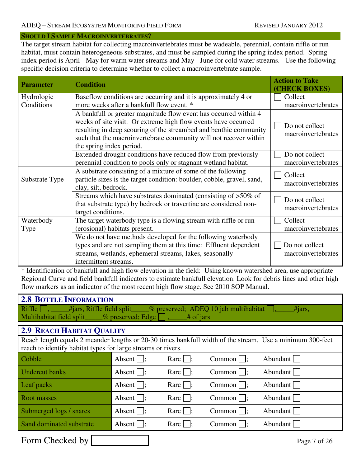### **SHOULD I SAMPLE MACROINVERTEBRATES?**

The target stream habitat for collecting macroinvertebrates must be wadeable, perennial, contain riffle or run habitat, must contain heterogeneous substrates, and must be sampled during the spring index period. Spring index period is April - May for warm water streams and May - June for cold water streams. Use the following specific decision criteria to determine whether to collect a macroinvertebrate sample.

| <b>Parameter</b>  | <b>Condition</b>                                                                                                                                                                                                                                                                                         | <b>Action to Take</b><br>(CHECK BOXES) |
|-------------------|----------------------------------------------------------------------------------------------------------------------------------------------------------------------------------------------------------------------------------------------------------------------------------------------------------|----------------------------------------|
| Hydrologic        | Baseflow conditions are occurring and it is approximately 4 or                                                                                                                                                                                                                                           | Collect                                |
| Conditions        | more weeks after a bankfull flow event. *                                                                                                                                                                                                                                                                | macroinvertebrates                     |
|                   | A bankfull or greater magnitude flow event has occurred within 4<br>weeks of site visit. Or extreme high flow events have occurred<br>resulting in deep scouring of the streambed and benthic community<br>such that the macroinvertebrate community will not recover within<br>the spring index period. | Do not collect<br>macroinvertebrates   |
|                   | Extended drought conditions have reduced flow from previously                                                                                                                                                                                                                                            | Do not collect                         |
|                   | perennial condition to pools only or stagnant wetland habitat.                                                                                                                                                                                                                                           | macroinvertebrates                     |
| Substrate Type    | A substrate consisting of a mixture of some of the following<br>particle sizes is the target condition: boulder, cobble, gravel, sand,<br>clay, silt, bedrock.                                                                                                                                           | Collect<br>macroinvertebrates          |
|                   | Streams which have substrates dominated (consisting of >50% of<br>that substrate type) by bedrock or travertine are considered non-<br>target conditions.                                                                                                                                                | Do not collect<br>macroinvertebrates   |
| Waterbody<br>Type | The target waterbody type is a flowing stream with riffle or run<br>(erosional) habitats present.                                                                                                                                                                                                        | Collect<br>macroinvertebrates          |
|                   | We do not have methods developed for the following waterbody<br>types and are not sampling them at this time: Effluent dependent<br>streams, wetlands, ephemeral streams, lakes, seasonally<br>intermittent streams.                                                                                     | Do not collect<br>macroinvertebrates   |

\* Identification of bankfull and high flow elevation in the field: Using known watershed area, use appropriate Regional Curve and field bankfull indicators to estimate bankfull elevation. Look for debris lines and other high flow markers as an indicator of the most recent high flow stage. See 2010 SOP Manual.

| <b>2.8 BOTTLE INFORMATION</b>                                                                                                                                             |                              |                            |                                                                      |              |  |  |  |  |  |  |  |
|---------------------------------------------------------------------------------------------------------------------------------------------------------------------------|------------------------------|----------------------------|----------------------------------------------------------------------|--------------|--|--|--|--|--|--|--|
| Riffle<br>Multihabitat field split ___% preserved; Edge                                                                                                                   |                              | $#$ of jars                | _#jars, Riffle field split_____% preserved; ADEQ 10 jab multihabitat | #jars,       |  |  |  |  |  |  |  |
| <b>2.9 REACH HABITAT QUALITY</b>                                                                                                                                          |                              |                            |                                                                      |              |  |  |  |  |  |  |  |
| Reach length equals 2 meander lengths or 20-30 times bankfull width of the stream. Use a minimum 300-feet<br>reach to identify habitat types for large streams or rivers. |                              |                            |                                                                      |              |  |  |  |  |  |  |  |
| Cobble                                                                                                                                                                    | Absent $\vert \cdot \vert$ ; | Rare $\vert \cdot \vert$ : | $Common \mid \cdot$                                                  | Abundant     |  |  |  |  |  |  |  |
| <b>Undercut</b> banks                                                                                                                                                     | Absent $\vert \cdot \vert$ ; | Rare $\vert \cdot \vert$ : | Common                                                               | Abundant     |  |  |  |  |  |  |  |
| Leaf packs                                                                                                                                                                | Absent $\vert \cdot \vert$ ; | Rare $\vert \cdot \vert$ ; | Common                                                               | Abundant     |  |  |  |  |  |  |  |
| Root masses                                                                                                                                                               | Absent $\vert \cdot \vert$ ; | Rare $\vert \cdot \vert$ : | Common                                                               | Abundant     |  |  |  |  |  |  |  |
| Submerged logs / snares                                                                                                                                                   | Absent $\vert \cdot \vert$ ; | Rare                       | Common                                                               | Abundant     |  |  |  |  |  |  |  |
| Sand dominated substrate                                                                                                                                                  | Absent $\vert \cdot \vert$ ; | $\text{Rare}$              | Common                                                               | Abundant     |  |  |  |  |  |  |  |
| Form Checked by                                                                                                                                                           |                              |                            |                                                                      | Page 7 of 26 |  |  |  |  |  |  |  |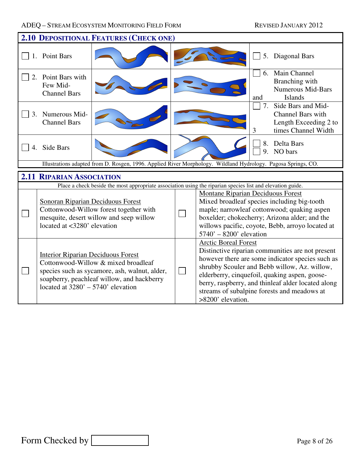|         | <b>2.10 DEPOSITIONAL FEATURES (CHECK ONE)</b>                                                                                                                                                                           |  |  |                                                                                                                                                                                                                                                                                                                                                                |  |  |  |  |  |  |  |  |
|---------|-------------------------------------------------------------------------------------------------------------------------------------------------------------------------------------------------------------------------|--|--|----------------------------------------------------------------------------------------------------------------------------------------------------------------------------------------------------------------------------------------------------------------------------------------------------------------------------------------------------------------|--|--|--|--|--|--|--|--|
|         | 1. Point Bars                                                                                                                                                                                                           |  |  | Diagonal Bars<br>5.                                                                                                                                                                                                                                                                                                                                            |  |  |  |  |  |  |  |  |
|         | Point Bars with<br>Few Mid-<br><b>Channel Bars</b>                                                                                                                                                                      |  |  | Main Channel<br>6.<br>Branching with<br><b>Numerous Mid-Bars</b><br><b>Islands</b><br>and                                                                                                                                                                                                                                                                      |  |  |  |  |  |  |  |  |
| $3_{-}$ | Numerous Mid-<br><b>Channel Bars</b>                                                                                                                                                                                    |  |  | 7.<br>Side Bars and Mid-<br><b>Channel Bars with</b><br>Length Exceeding 2 to<br>times Channel Width<br>3                                                                                                                                                                                                                                                      |  |  |  |  |  |  |  |  |
|         | Side Bars                                                                                                                                                                                                               |  |  | Delta Bars<br>8.<br>NO bars<br>9 <sub>1</sub>                                                                                                                                                                                                                                                                                                                  |  |  |  |  |  |  |  |  |
|         |                                                                                                                                                                                                                         |  |  | Illustrations adapted from D. Rosgen, 1996. Applied River Morphology. Wildland Hydrology. Pagosa Springs, CO.                                                                                                                                                                                                                                                  |  |  |  |  |  |  |  |  |
|         | <b>2.11 RIPARIAN ASSOCIATION</b>                                                                                                                                                                                        |  |  |                                                                                                                                                                                                                                                                                                                                                                |  |  |  |  |  |  |  |  |
|         |                                                                                                                                                                                                                         |  |  | Place a check beside the most appropriate association using the riparian species list and elevation guide.                                                                                                                                                                                                                                                     |  |  |  |  |  |  |  |  |
|         | <b>Sonoran Riparian Deciduous Forest</b><br>Cottonwood-Willow forest together with<br>mesquite, desert willow and seep willow<br>located at <3280' elevation                                                            |  |  | Montane Riparian Deciduous Forest<br>Mixed broadleaf species including big-tooth<br>maple; narrowleaf cottonwood; quaking aspen<br>boxelder; chokecherry; Arizona alder; and the<br>willows pacific, coyote, Bebb, arroyo located at<br>$5740' - 8200'$ elevation                                                                                              |  |  |  |  |  |  |  |  |
|         | <b>Interior Riparian Deciduous Forest</b><br>Cottonwood-Willow & mixed broadleaf<br>species such as sycamore, ash, walnut, alder,<br>soapberry, peachleaf willow, and hackberry<br>located at $3280' - 5740'$ elevation |  |  | <b>Arctic Boreal Forest</b><br>Distinctive riparian communities are not present<br>however there are some indicator species such as<br>shrubby Scouler and Bebb willow, Az. willow,<br>elderberry, cinquefoil, quaking aspen, goose-<br>berry, raspberry, and thinleaf alder located along<br>streams of subalpine forests and meadows at<br>>8200' elevation. |  |  |  |  |  |  |  |  |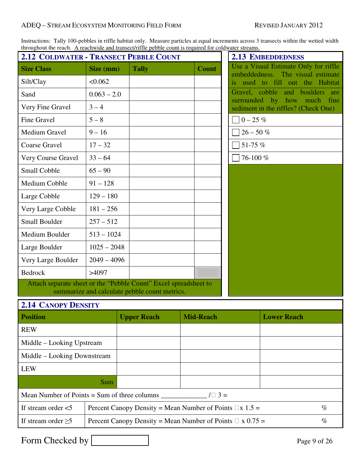### ADEQ – STREAM ECOSYSTEM MONITORING FIELD FORM REVISED JANUARY 2012

| <b>2.12 COLDWATER - TRANSECT PEBBLE COUNT</b>                    |               |                                               | uirougnout the reach. A reachwide and transecurrific people count is required for coldwater streams. |
|------------------------------------------------------------------|---------------|-----------------------------------------------|------------------------------------------------------------------------------------------------------|
| <b>Size Class</b>                                                | Size (mm)     | <b>Tally</b>                                  | <b>Count</b>                                                                                         |
| Silt/Clay                                                        | < 0.062       |                                               |                                                                                                      |
| Sand                                                             | $0.063 - 2.0$ |                                               |                                                                                                      |
| Very Fine Gravel                                                 | $3 - 4$       |                                               |                                                                                                      |
| Fine Gravel                                                      | $5 - 8$       |                                               |                                                                                                      |
| <b>Medium Gravel</b>                                             | $9 - 16$      |                                               |                                                                                                      |
| <b>Coarse Gravel</b>                                             | $17 - 32$     |                                               |                                                                                                      |
| Very Course Gravel                                               | $33 - 64$     |                                               |                                                                                                      |
| <b>Small Cobble</b>                                              | $65 - 90$     |                                               |                                                                                                      |
| Medium Cobble                                                    | $91 - 128$    |                                               |                                                                                                      |
| Large Cobble                                                     | $129 - 180$   |                                               |                                                                                                      |
| Very Large Cobble                                                | $181 - 256$   |                                               |                                                                                                      |
| <b>Small Boulder</b>                                             | $257 - 512$   |                                               |                                                                                                      |
| Medium Boulder                                                   | $513 - 1024$  |                                               |                                                                                                      |
| Large Boulder                                                    | $1025 - 2048$ |                                               |                                                                                                      |
| Very Large Boulder                                               | $2049 - 4096$ |                                               |                                                                                                      |
| <b>Bedrock</b>                                                   | >4097         |                                               |                                                                                                      |
| Attach separate sheet or the "Pebble Count" Excel spreadsheet to |               | summarize and calculate pebble count metrics. |                                                                                                      |
| <b>2.14 CANOPY DENSITY</b>                                       |               |                                               |                                                                                                      |
| <b>Position</b>                                                  |               | <b>Upper Reach</b>                            | <b>Mid-Reach</b>                                                                                     |
| <b>REW</b>                                                       |               |                                               |                                                                                                      |
| Middle - Looking Upstream                                        |               |                                               |                                                                                                      |
| Middle – Looking Downstream                                      |               |                                               |                                                                                                      |
| <b>LEW</b>                                                       |               |                                               |                                                                                                      |
|                                                                  | Sum           |                                               |                                                                                                      |
| Mean Number of Points $=$ Sum of three columns                   |               |                                               | $/ \Box 3 =$                                                                                         |

Instructions: Tally 100-pebbles in riffle habitat only. Measure particles at equal increments across 3 transects within the wetted width throughout the reach. A reachwide and transect/riffle pebble count is required for coldwater streams.

# Mean Number of Points = Sum of three columns  $\frac{1}{\sqrt{3}}$  = If stream order  $\lt 5$  Percent Canopy Density = Mean Number of Points  $\Box x$  1.5 = % If stream order  $\geq$ 5 Percent Canopy Density = Mean Number of Points  $\Box$  x 0.75 = %

Form Checked by Page 9 of 26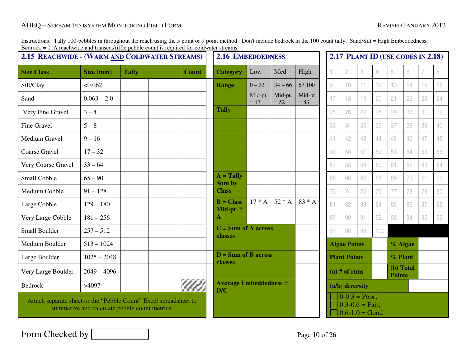Instructions: Tally 100-pebbles in throughout the reach using the 5 point or 9 point method. Don't include bedrock in the 100 count tally. Sand/Silt = High Embeddedness.<br>Bedrock = 0\_A reachwide and transect/riffle pebble c

| $\mu$ between $\sigma$ $\alpha$ is reaching and transcentrific performance in equined for columnate streams.<br>2.15 REACHWIDE - (WARM AND COLDWATER STREAMS) |               |              | <b>2.16 EMBEDDEDNESS</b> |                                      |                  |                   | 2.17 PLANT ID (USE CODES IN 2.18) |                                                                            |                     |    |                            |         |    |    |    |
|---------------------------------------------------------------------------------------------------------------------------------------------------------------|---------------|--------------|--------------------------|--------------------------------------|------------------|-------------------|-----------------------------------|----------------------------------------------------------------------------|---------------------|----|----------------------------|---------|----|----|----|
| <b>Size Class</b>                                                                                                                                             | Size (mm)     | <b>Tally</b> | <b>Count</b>             | <b>Category</b>                      | Low              | Med               | High                              |                                                                            | 2                   | 3  | 4                          | 5       | 6  |    | 8  |
| Silt/Clay                                                                                                                                                     | < 0.062       |              |                          | <b>Range</b>                         | $0 - 33$         | $34 - 66$         | 67 100                            | $\mathcal{G}% _{M_{1},M_{2}}^{\alpha,\beta}(\mathcal{G})$                  | 10                  | 11 | 12                         | 13      | 14 | 15 | 16 |
| Sand                                                                                                                                                          | $0.063 - 2.0$ |              |                          |                                      | Mid-pt.<br>$=17$ | Mid-pt.<br>$= 52$ | Mid-pt<br>$= 83$                  | 17                                                                         | 18                  | 19 | 20                         | 21      | 22 | 23 | 24 |
| Very Fine Gravel                                                                                                                                              | $3 - 4$       |              |                          | <b>Tally</b>                         |                  |                   |                                   | 25                                                                         | 26                  | 27 | 28                         | 29      | 30 | 31 | 32 |
| <b>Fine Gravel</b>                                                                                                                                            | $5 - 8$       |              |                          |                                      |                  |                   |                                   | 33                                                                         | 34                  | 35 | 36                         | 37      | 38 | 39 | 40 |
| Medium Gravel                                                                                                                                                 | $9 - 16$      |              |                          |                                      |                  |                   |                                   | 41                                                                         | 42                  | 43 | 44                         | 45      | 46 | 47 | 48 |
| Coarse Gravel                                                                                                                                                 | $17 - 32$     |              |                          |                                      |                  |                   |                                   | 49                                                                         | 50                  | 51 | 52                         | 53      | 54 | 55 | 56 |
| Very Course Gravel                                                                                                                                            | $33 - 64$     |              |                          |                                      |                  |                   |                                   | 57                                                                         | 58                  | 59 | 60                         | 61      | 62 | 63 | 64 |
| Small Cobble                                                                                                                                                  | $65 - 90$     |              |                          | $A = Tally$<br>Sum by                |                  |                   |                                   | 65                                                                         | 66                  | 67 | 68                         | 69      | 70 | 71 | 72 |
| Medium Cobble                                                                                                                                                 | $91 - 128$    |              |                          | <b>Class</b>                         |                  |                   |                                   | 73                                                                         | 74                  | 75 | 76                         | 77      | 78 | 79 | 80 |
| Large Cobble                                                                                                                                                  | $129 - 180$   |              |                          | $B = Class$<br>Mid-pt *              | $17 * A$         | $52*A$            | $83 * A$                          | 81                                                                         | 82                  | 83 | 84                         | 85      | 86 | 87 | 88 |
| Very Large Cobble                                                                                                                                             | $181 - 256$   |              |                          | A                                    |                  |                   |                                   | 89                                                                         | 90                  | 91 | 92                         | 93      | 94 | 95 | 96 |
| Small Boulder                                                                                                                                                 | $257 - 512$   |              |                          | $C = Sum$ of A across<br>classes     |                  |                   |                                   | 97                                                                         | 98                  | 99 | 100                        |         |    |    |    |
| Medium Boulder                                                                                                                                                | $513 - 1024$  |              |                          |                                      |                  |                   |                                   | <b>Algae Points</b>                                                        |                     |    |                            | % Algae |    |    |    |
| Large Boulder                                                                                                                                                 | $1025 - 2048$ |              |                          | $D = Sum$ of B across<br>classes     |                  |                   |                                   |                                                                            | <b>Plant Points</b> |    |                            | % Plant |    |    |    |
| Very Large Boulder                                                                                                                                            | $2049 - 4096$ |              |                          |                                      |                  |                   |                                   | $(a)$ # of runs                                                            |                     |    | (b) Total<br><b>Points</b> |         |    |    |    |
| Bedrock                                                                                                                                                       | >4097         |              |                          | <b>Average Embeddedness =</b><br>D/C |                  |                   |                                   | (a/b) diversity                                                            |                     |    |                            |         |    |    |    |
| Attach separate sheet or the "Pebble Count" Excel spreadsheet to<br>summarize and calculate pebble count metrics.                                             |               |              |                          |                                      |                  |                   |                                   | $0-0.3 =$ Poor;<br>$0.3 - 0.6 = \text{Fair}$ ;<br>$\big] 0.6 - 1.0 = Good$ |                     |    |                            |         |    |    |    |

Form Checked by Page 10 of 26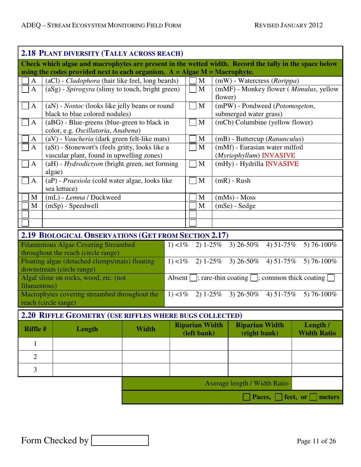| 2.18 PLANT DIVERSITY (TALLY ACROSS REACH) |                                                                                                        |                                                  |                                                                      |             |                       |                                                                        |                    |  |  |  |
|-------------------------------------------|--------------------------------------------------------------------------------------------------------|--------------------------------------------------|----------------------------------------------------------------------|-------------|-----------------------|------------------------------------------------------------------------|--------------------|--|--|--|
|                                           | Check which algae and macrophytes are present in the wetted width. Record the tally in the space below |                                                  |                                                                      |             |                       |                                                                        |                    |  |  |  |
|                                           | using the codes provided next to each organism. $A = Algae M = Macrophyte$ .                           |                                                  |                                                                      |             |                       |                                                                        |                    |  |  |  |
| A                                         |                                                                                                        | (aCl) - Cladophora (hair like feel, long beards) |                                                                      |             |                       | (mW) - Watercress (Rorippa)                                            |                    |  |  |  |
| $\mathbf{A}$                              | (aSg) - Spirogyra (slimy to touch, bright green)                                                       |                                                  |                                                                      |             | M                     | (mMF) - Monkey flower ( <i>Mimulus</i> , yellow                        |                    |  |  |  |
|                                           |                                                                                                        |                                                  |                                                                      |             | flower)               |                                                                        |                    |  |  |  |
| $\mathbf{A}$                              | (aN) - <i>Nostoc</i> (looks like jelly beans or round                                                  |                                                  |                                                                      |             | $\mathbf{M}$          | (mPW) - Pondweed (Potomogeton,                                         |                    |  |  |  |
|                                           | black to blue colored nodules)                                                                         |                                                  |                                                                      |             |                       | submerged water grass)                                                 |                    |  |  |  |
| $\mathbf{A}$                              | (aBG) - Blue-greens (blue-green to black in                                                            |                                                  |                                                                      |             | M                     | (mCb) Columbine (yellow flower)                                        |                    |  |  |  |
|                                           | color, e.g. Oscillatoria, Anabena)                                                                     |                                                  |                                                                      |             |                       |                                                                        |                    |  |  |  |
| A                                         | (aV) - Vaucheria (dark green felt-like mats)                                                           |                                                  |                                                                      |             | M<br>$\mathbf M$      | (mB) - Buttercup (Ranunculus)                                          |                    |  |  |  |
| $\mathbf{A}$                              | (aSt) - Stonewort's (feels gritty, looks like a<br>vascular plant, found in upwelling zones)           |                                                  |                                                                      |             |                       | (mMf) - Eurasian water milfoil<br>(Myriophyllum) INVASIVE              |                    |  |  |  |
| $\mathbf{A}$                              | (aH) - Hydrodictyon (bright green, net forming                                                         |                                                  |                                                                      |             | M                     | (mHy) - Hydrilla <b>INVASIVE</b>                                       |                    |  |  |  |
|                                           | algae)                                                                                                 |                                                  |                                                                      |             |                       |                                                                        |                    |  |  |  |
| A                                         | (aP) - Praesiola (cold water algae, looks like                                                         |                                                  |                                                                      |             | M                     | $(mR)$ - Rush                                                          |                    |  |  |  |
|                                           | sea lettuce)                                                                                           |                                                  |                                                                      |             |                       |                                                                        |                    |  |  |  |
| M                                         | (mL) - Lemna / Duckweed                                                                                |                                                  |                                                                      |             | M                     | $(mMs) - Moss$                                                         |                    |  |  |  |
| M                                         | $(mSp)$ - Speedwell                                                                                    |                                                  |                                                                      |             | M                     | $(mSe)$ - Sedge                                                        |                    |  |  |  |
|                                           |                                                                                                        |                                                  |                                                                      |             |                       |                                                                        |                    |  |  |  |
|                                           |                                                                                                        |                                                  |                                                                      |             |                       |                                                                        |                    |  |  |  |
|                                           | 2.19 BIOLOGICAL OBSERVATIONS (GET FROM SECTION 2.17)                                                   |                                                  |                                                                      |             |                       |                                                                        |                    |  |  |  |
|                                           | <b>Filamentous Algae Covering Streambed</b>                                                            |                                                  | 1) $< 1\%$                                                           |             | $2) 1 - 25\%$         | 3) $26 - 50\%$<br>4) $51-75\%$                                         | 5) 76-100%         |  |  |  |
|                                           | throughout the reach (circle range)                                                                    |                                                  |                                                                      |             |                       |                                                                        |                    |  |  |  |
|                                           | Floating algae (detached clumps/mats) floating                                                         |                                                  | 1) $< 1\%$                                                           |             |                       | 2) $1-25\%$ 3) $26-50\%$<br>4) $51-75%$                                | 5) 76-100%         |  |  |  |
|                                           | downstream (circle range)                                                                              |                                                  |                                                                      |             |                       |                                                                        |                    |  |  |  |
|                                           | Algal slime on rocks, wood, etc. (not                                                                  |                                                  |                                                                      |             |                       | Absent $\Box$ ; rare-thin coating $\Box$ ; common thick coating $\Box$ |                    |  |  |  |
| filamentous)                              |                                                                                                        |                                                  |                                                                      |             |                       |                                                                        |                    |  |  |  |
|                                           | Macrophytes covering streambed throughout the                                                          |                                                  | 2) $1-25\%$ 3) $26-50\%$<br>1) $< 1\%$<br>4) $51-75\%$<br>5) 76-100% |             |                       |                                                                        |                    |  |  |  |
|                                           | reach (circle range)                                                                                   |                                                  |                                                                      |             |                       |                                                                        |                    |  |  |  |
|                                           | 2.20 RIFFLE GEOMETRY (USE RIFFLES WHERE BUGS COLLECTED)                                                |                                                  |                                                                      |             |                       |                                                                        |                    |  |  |  |
| <b>Riffle #</b>                           | Length                                                                                                 | <b>Width</b>                                     |                                                                      |             | <b>Riparian Width</b> | <b>Riparian Width</b>                                                  | Length /           |  |  |  |
|                                           |                                                                                                        |                                                  |                                                                      | (left bank) |                       | (right bank)                                                           | <b>Width Ratio</b> |  |  |  |
| $\mathbf{1}$                              |                                                                                                        |                                                  |                                                                      |             |                       |                                                                        |                    |  |  |  |
| $\overline{2}$                            |                                                                                                        |                                                  |                                                                      |             |                       |                                                                        |                    |  |  |  |
| 3                                         |                                                                                                        |                                                  |                                                                      |             |                       |                                                                        |                    |  |  |  |
|                                           |                                                                                                        |                                                  |                                                                      |             |                       |                                                                        |                    |  |  |  |
|                                           |                                                                                                        |                                                  | Average length / Width Ratio                                         |             |                       |                                                                        |                    |  |  |  |
|                                           | Paces, $\lfloor$ feet, or $\lfloor$ meters                                                             |                                                  |                                                                      |             |                       |                                                                        |                    |  |  |  |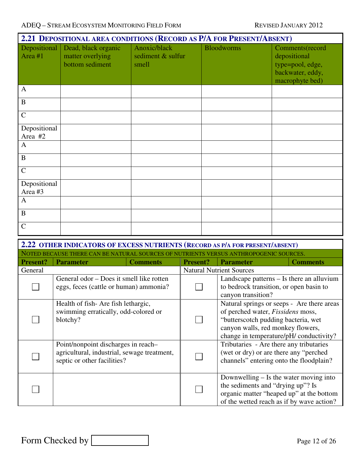| 2.21 DEPOSITIONAL AREA CONDITIONS (RECORD AS P/A FOR PRESENT/ABSENT) |                                                            |                                            |                   |                                                                                            |  |  |  |  |
|----------------------------------------------------------------------|------------------------------------------------------------|--------------------------------------------|-------------------|--------------------------------------------------------------------------------------------|--|--|--|--|
| Depositional $\vert$<br>Area #1                                      | Dead, black organic<br>matter overlying<br>bottom sediment | Anoxic/black<br>sediment & sulfur<br>smell | <b>Bloodworms</b> | Comments(record<br>depositional<br>type=pool, edge,<br>backwater, eddy,<br>macrophyte bed) |  |  |  |  |
| $\mathbf{A}$                                                         |                                                            |                                            |                   |                                                                                            |  |  |  |  |
| $\mathbf B$                                                          |                                                            |                                            |                   |                                                                                            |  |  |  |  |
| $\mathbf C$                                                          |                                                            |                                            |                   |                                                                                            |  |  |  |  |
| Depositional<br>Area #2                                              |                                                            |                                            |                   |                                                                                            |  |  |  |  |
| $\mathbf{A}$                                                         |                                                            |                                            |                   |                                                                                            |  |  |  |  |
| $\bf{B}$                                                             |                                                            |                                            |                   |                                                                                            |  |  |  |  |
| $\mathcal{C}$                                                        |                                                            |                                            |                   |                                                                                            |  |  |  |  |
| Depositional<br>Area #3                                              |                                                            |                                            |                   |                                                                                            |  |  |  |  |
| $\mathbf{A}$                                                         |                                                            |                                            |                   |                                                                                            |  |  |  |  |
| $\mathbf B$                                                          |                                                            |                                            |                   |                                                                                            |  |  |  |  |
| $\mathcal{C}$                                                        |                                                            |                                            |                   |                                                                                            |  |  |  |  |

|                 | 2.22 OTHER INDICATORS OF EXCESS NUTRIENTS (RECORD AS P/A FOR PRESENT/ABSENT)                                      |                 |                 |                                                                                                                                                                                                               |                 |  |  |
|-----------------|-------------------------------------------------------------------------------------------------------------------|-----------------|-----------------|---------------------------------------------------------------------------------------------------------------------------------------------------------------------------------------------------------------|-----------------|--|--|
|                 | ALISE THERE CAN BE NATURAL SOURCES OF NU                                                                          |                 |                 | IS ANTHROPOGENIC SOURCES.                                                                                                                                                                                     |                 |  |  |
| <b>Present?</b> | <b>Parameter</b>                                                                                                  | <b>Comments</b> | <b>Present?</b> | <b>Parameter</b>                                                                                                                                                                                              | <b>Comments</b> |  |  |
| General         |                                                                                                                   |                 |                 | <b>Natural Nutrient Sources</b>                                                                                                                                                                               |                 |  |  |
|                 | General odor – Does it smell like rotten<br>eggs, feces (cattle or human) ammonia?                                |                 |                 | Landscape patterns – Is there an alluvium<br>to bedrock transition, or open basin to<br>canyon transition?                                                                                                    |                 |  |  |
|                 | Health of fish-Are fish lethargic,<br>swimming erratically, odd-colored or<br>blotchy?                            |                 |                 | Natural springs or seeps - Are there areas<br>of perched water, <i>Fissidens</i> moss,<br>"butterscotch pudding bacteria, wet<br>canyon walls, red monkey flowers,<br>change in temperature/pH/ conductivity? |                 |  |  |
|                 | Point/nonpoint discharges in reach-<br>agricultural, industrial, sewage treatment,<br>septic or other facilities? |                 |                 | Tributaries - Are there any tributaries<br>(wet or dry) or are there any "perched<br>channels" entering onto the floodplain?                                                                                  |                 |  |  |
|                 |                                                                                                                   |                 |                 | Downwelling $-$ Is the water moving into<br>the sediments and "drying up"? Is<br>organic matter "heaped up" at the bottom<br>of the wetted reach as if by wave action?                                        |                 |  |  |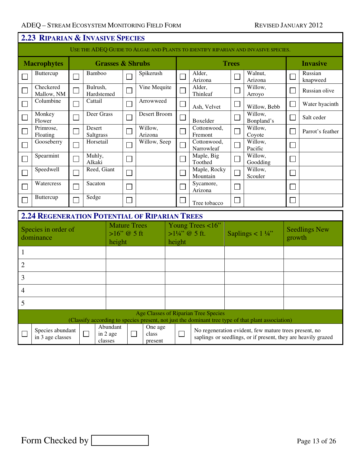|                | 2.23 RIPARIAN & INVASIVE SPECIES                                                  |                             |                        |                                                 |        |                             |  |                             |                                             |                             |                                                                                                                        |              |                      |
|----------------|-----------------------------------------------------------------------------------|-----------------------------|------------------------|-------------------------------------------------|--------|-----------------------------|--|-----------------------------|---------------------------------------------|-----------------------------|------------------------------------------------------------------------------------------------------------------------|--------------|----------------------|
|                | USE THE ADEQ GUIDE TO ALGAE AND PLANTS TO IDENTIFY RIPARIAN AND INVASIVE SPECIES. |                             |                        |                                                 |        |                             |  |                             |                                             |                             |                                                                                                                        |              |                      |
|                | <b>Macrophytes</b>                                                                |                             |                        | <b>Grasses &amp; Shrubs</b>                     |        |                             |  |                             | <b>Trees</b><br><b>Invasive</b>             |                             |                                                                                                                        |              |                      |
|                | Buttercup                                                                         |                             | Bamboo                 |                                                 |        | Spikerush                   |  |                             | Alder,<br>Arizona                           |                             | Walnut,<br>Arizona                                                                                                     |              | Russian<br>knapweed  |
|                | Checkered<br>Mallow, NM                                                           |                             | Bulrush,<br>Hardstemed |                                                 |        | Vine Mequite                |  |                             | Alder,<br>Thinleaf                          |                             | Willow,<br>Arroyo                                                                                                      |              | Russian olive        |
|                | Columbine                                                                         |                             | Cattail                |                                                 |        | Arrowweed                   |  | $\mathcal{L}_{\mathcal{A}}$ | Ash, Velvet                                 | $\Box$                      | Willow, Bebb                                                                                                           |              | Water hyacinth       |
|                | Monkey<br>Flower                                                                  | Ξ                           | Deer Grass             |                                                 |        | Desert Broom                |  | $\overline{a}$              | Boxelder                                    | $\Box$                      | Willow,<br>Bonpland's                                                                                                  |              | Salt ceder           |
|                | Primrose,<br>Floating                                                             | Ξ                           | Desert<br>Saltgrass    |                                                 |        | Willow,<br>Arizona          |  | $\overline{a}$              | Cottonwood,<br>Fremont                      |                             | Willow,<br>Coyote                                                                                                      |              | Parrot's feather     |
|                | Gooseberry                                                                        |                             | Horsetail              |                                                 |        | Willow, Seep                |  | Ξ                           | Cottonwood,<br>Narrowleaf                   | $\mathcal{L}_{\mathcal{A}}$ | Willow,<br>Pacific                                                                                                     | $\Box$       |                      |
|                | Spearmint                                                                         | $\mathcal{L}_{\mathcal{A}}$ | Muhly,<br>Alkaki       |                                                 |        |                             |  |                             | Maple, Big<br>Toothed                       | $\mathcal{L}_{\mathcal{A}}$ | Willow,<br>Goodding                                                                                                    | $\Box$       |                      |
|                | Speedwell                                                                         | Ξ                           | Reed, Giant            |                                                 |        |                             |  |                             | Maple, Rocky<br>Mountain                    |                             | Willow,<br>Scouler                                                                                                     | $\Box$       |                      |
|                | Watercress                                                                        |                             | Sacaton                |                                                 |        |                             |  |                             | Sycamore,<br>Arizona                        | $\mathcal{L}_{\mathcal{A}}$ |                                                                                                                        | $\mathbf{I}$ |                      |
|                | Buttercup                                                                         |                             | Sedge                  |                                                 |        |                             |  |                             | Tree tobacco                                |                             |                                                                                                                        |              |                      |
|                | <b>2.24 REGENERATION POTENTIAL OF RIPARIAN TREES</b>                              |                             |                        |                                                 |        |                             |  |                             |                                             |                             |                                                                                                                        |              |                      |
|                | Species in order of<br>dominance                                                  |                             |                        | <b>Mature Trees</b><br>$>16$ " @ 5 ft<br>height |        |                             |  | height                      | Young Trees <16"<br>$>1\frac{1}{4}$ @ 5 ft. |                             | Saplings < $1\frac{1}{4}$ "                                                                                            | growth       | <b>Seedlings New</b> |
| $\mathbf{1}$   |                                                                                   |                             |                        |                                                 |        |                             |  |                             |                                             |                             |                                                                                                                        |              |                      |
| $\overline{2}$ |                                                                                   |                             |                        |                                                 |        |                             |  |                             |                                             |                             |                                                                                                                        |              |                      |
| 3              |                                                                                   |                             |                        |                                                 |        |                             |  |                             |                                             |                             |                                                                                                                        |              |                      |
| 4              |                                                                                   |                             |                        |                                                 |        |                             |  |                             |                                             |                             |                                                                                                                        |              |                      |
| 5              |                                                                                   |                             |                        |                                                 |        |                             |  |                             |                                             |                             |                                                                                                                        |              |                      |
|                |                                                                                   |                             |                        |                                                 |        |                             |  |                             | <b>Age Classes of Riparian Tree Species</b> |                             | (Classify according to species present, not just the dominant tree type of that plant association)                     |              |                      |
|                | Species abundant<br>$\Box$<br>in 2 age<br>in 3 age classes<br>classes             |                             |                        | Abundant                                        | $\Box$ | One age<br>class<br>present |  | $\Box$                      |                                             |                             | No regeneration evident, few mature trees present, no<br>saplings or seedlings, or if present, they are heavily grazed |              |                      |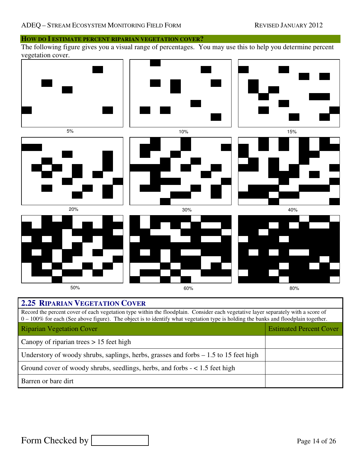

| $\sigma$ = 100% for each (Sec above right). The object is to hechary what vegetation type is nothing the banks and hoodplain together. |                                |
|----------------------------------------------------------------------------------------------------------------------------------------|--------------------------------|
| <b>Riparian Vegetation Cover</b>                                                                                                       | <b>Estimated Percent Cover</b> |
| Canopy of riparian trees $> 15$ feet high                                                                                              |                                |
| Understory of woody shrubs, saplings, herbs, grasses and forbs $-1.5$ to 15 feet high                                                  |                                |
| Ground cover of woody shrubs, seedlings, herbs, and forbs $-$ < 1.5 feet high                                                          |                                |
| Barren or bare dirt                                                                                                                    |                                |

Form Checked by **Page 14 of 26**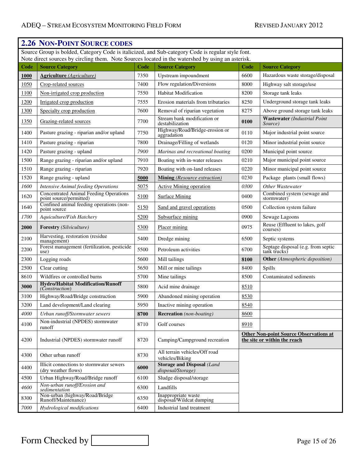#### **2.26 NON-POINT SOURCE CODES** Source Group is bolded, Category Code is italicized, and Sub-category Code is regular style font. Note direct sources by circling them. Note Sources located in the watershed by using an asterisk. **Code Source Category Code Source Category Code Source Category 1000 Agriculture** *(Agriculture)* 7350 Upstream impoundment 6600 Hazardous waste storage/disposal 1050 Crop-related sources 7400 Flow regulation/Diversions 8000 Highway salt storage/use 1100 Non-irrigated crop production 7550 Habitat Modification 8200 Storage tank leaks 1200 Irrigated crop production **7555** Erosion materials from tributaries 8250 Underground storage tank leaks 1300 Specialty crop production 7600 Removal of riparian vegetation 8275 Above ground storage tank leaks 1350 Grazing-related sources 7700 Stream bank modification or destabilization **<sup>0100</sup> Wastewater** *(Industrial Point Source)* 1400 Pasture grazing - riparian and/or upland 7750 Highway/Road/Bridge-erosion or 0110 Major industrial point source 1410 Pasture grazing - riparian 7800 Drainage/Filling of wetlands 0120 Minor industrial point source 1420 Pasture grazing - upland *7900 Marinas and recreational boating* 0200 Municipal point source 1500 Range grazing - riparian and/or upland 7910 Boating with in-water releases 0210 Major municipal point source 1510 Range grazing - riparian 7920 Boating with on-land releases 0220 Minor municipal point source 1520 Range grazing - upland **5000 Mining** *(Resource extraction)* 0230 Package plants (small flows) *1600 Intensive Animal feeding Operations* 5075 Active Mining operation *0300 Other Wastewater* 1620 Concentrated Animal Feeding Operations 5100 Surface Mining 0400 Combined system (sewage and point source/permitted) Combined system (sewage and<br>stormwater) 1640 Confined animal feeding operations (non-<br>point source 5150 Sand and gravel operations 0500 Collection system failure 1700 | Aquiculture/Fish Hatchery  $\vert$  5200 | Subsurface mining 0900 | Sewage Lagoons **2000 Forestry** *(Silviculture)* 5300 **Placer mining** 0975 Reuse (Effluent to lakes, golf courses) 2100 Harvesting, restoration (residue<br>management) management) 5400 Dredge mining 6500 Septic systems  $2200$  Forest management (fertilization, pesticide 5500 Petroleum activities 6700 Septage disposal (e.g. from septic ank trucks) Septage disposal (e.g. from septic<br>tank trucks) 2300 Logging roads 5600 Mill tailings **8100 Other** *(Atmospheric deposition)* 2500 Clear cutting 2500 Spills 5650 Mill or mine tailings 8400 Spills 8610 | Wildfires or controlled burns 5700 | Mine tailings 8500 | Contaminated sediments **<sup>3000</sup> Hydro/Habitat Modification/Runoff**  5800 Acid mine drainage 8510 3100 Highway/Road/Bridge construction 5900 Abandoned mining operation 8530 3200 Land development/Land clearing 5950 Inactive mining operation 8540 *4000 Urban runoff/Stormwater sewers* **8700 Recreation** *(non-boating)* 8600 4100 Non-industrial (NPDES) stormwater<br>runoff runoff  $\begin{array}{|c|c|c|c|c|c|}\n\hline\n\text{F} & \text{F} & \text{F} & \text{F} & \text{F} \\
\hline\n\text{F} & \text{F} & \text{F} & \text{F} & \text{F} \\
\hline\n\text{F} & \text{F} & \text{F} & \text{F} & \text{F} \\
\hline\n\text{F} & \text{F} & \text{F} & \text{F} & \text{F} \\
\hline\n\text{F} & \text{F} & \text{F} & \text{F} & \text{F} \\
\hline\n\text{F} & \text{F} & \text{F} & \$ 4200 Industrial (NPDES) stormwater runoff 8720 Camping/Campground recreation **Other Non-point Source Observations at the site or within the reach** 4300 Other urban runoff 8730 All terrain vehicles/Off road vehicles/Biking 4400 Illicit connections to stormwater sewers **6000** Storage and Disposal *(Land disposal/Storage) disposal/Storage)* 4500 Urban Highway/Road/Bridge runoff 6100 Sludge disposal/storage *<sup>4600</sup> Non-urban runoff/Erosion and sedimentation* 6300 Landfills 8300 Non-urban (highway/Road/Bridge 6350 Inappropriate waste<br>
Runoff/Maintenance) 6350 Inappropriate waste disposal/Wildcat dumping *7000 Hydrological modifications* 6400 Industrial land treatment

Form Checked by Page 15 of 26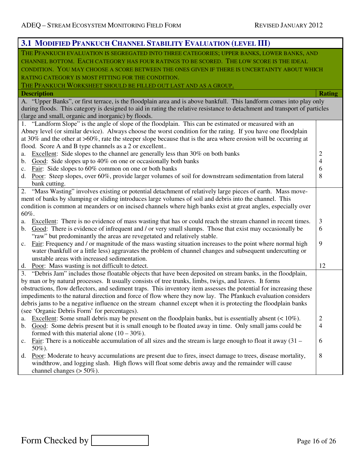| 3.1 MODIFIED PFANKUCH CHANNEL STABILITY EVALUATION (LEVEL III)                                                                                                                        |                |
|---------------------------------------------------------------------------------------------------------------------------------------------------------------------------------------|----------------|
| THE PFANKUCH EVALUATION IS SEGREGATED INTO THREE CATEGORIES; UPPER BANKS, LOWER BANKS, AND                                                                                            |                |
| CHANNEL BOTTOM. EACH CATEGORY HAS FOUR RATINGS TO BE SCORED. THE LOW SCORE IS THE IDEAL                                                                                               |                |
| CONDITION. YOU MAY CHOOSE A SCORE BETWEEN THE ONES GIVEN IF THERE IS UNCERTAINTY ABOUT WHICH                                                                                          |                |
| RATING CATEGORY IS MOST FITTING FOR THE CONDITION.                                                                                                                                    |                |
| THE PFANKUCH WORKSHEET SHOULD BE FILLED OUT LAST AND AS A GROUP.                                                                                                                      |                |
| <b>Description</b>                                                                                                                                                                    | <b>Rating</b>  |
| A. "Upper Banks", or first terrace, is the floodplain area and is above bankfull. This landform comes into play only                                                                  |                |
| during floods. This category is designed to aid in rating the relative resistance to detachment and transport of particles                                                            |                |
| (large and small, organic and inorganic) by floods.                                                                                                                                   |                |
| 1. "Landform Slope" is the angle of slope of the floodplain. This can be estimated or measured with an                                                                                |                |
| Abney level (or similar device). Always choose the worst condition for the rating. If you have one floodplain                                                                         |                |
| at 30% and the other at $>60\%$ , rate the steeper slope because that is the area where erosion will be occurring at<br>flood. Score A and B type channels as a 2 or excellent        |                |
| Excellent: Side slopes to the channel are generally less than 30% on both banks<br>a.                                                                                                 | $\overline{c}$ |
| b. Good: Side slopes up to 40% on one or occasionally both banks                                                                                                                      | 4              |
| Fair: Side slopes to 60% common on one or both banks<br>c.                                                                                                                            | 6              |
| Poor: Steep slopes, over 60%, provide larger volumes of soil for downstream sedimentation from lateral<br>d.                                                                          | 8              |
| bank cutting.                                                                                                                                                                         |                |
| "Mass Wasting" involves existing or potential detachment of relatively large pieces of earth. Mass move-<br>2.                                                                        |                |
| ment of banks by slumping or sliding introduces large volumes of soil and debris into the channel. This                                                                               |                |
| condition is common at meanders or on incised channels where high banks exist at great angles, especially over                                                                        |                |
| 60%.                                                                                                                                                                                  |                |
| Excellent: There is no evidence of mass wasting that has or could reach the stream channel in recent times.<br>a.                                                                     | 3              |
| Good: There is evidence of infrequent and / or very small slumps. Those that exist may occasionally be<br>$\mathbf{b}$ .                                                              | 6              |
| "raw" but predominantly the areas are revegetated and relatively stable.<br>Fair: Frequency and / or magnitude of the mass wasting situation increases to the point where normal high | 9              |
| c.<br>water (bankfull or a little less) aggravates the problem of channel changes and subsequent undercutting or                                                                      |                |
| unstable areas with increased sedimentation.                                                                                                                                          |                |
| d. Poor: Mass wasting is not difficult to detect.                                                                                                                                     | 12             |
| 3. "Debris Jam" includes those floatable objects that have been deposited on stream banks, in the floodplain,                                                                         |                |
| by man or by natural processes. It usually consists of tree trunks, limbs, twigs, and leaves. It forms                                                                                |                |
| obstructions, flow deflectors, and sediment traps. This inventory item assesses the potential for increasing these                                                                    |                |
| impediments to the natural direction and force of flow where they now lay. The Pfankuch evaluation considers                                                                          |                |
| debris jams to be a negative influence on the stream channel except when it is protecting the floodplain banks                                                                        |                |
| (see 'Organic Debris Form' for percentages).                                                                                                                                          |                |
| Excellent: Some small debris may be present on the floodplain banks, but is essentially absent $(< 10\%)$ .<br>a.                                                                     | $\overline{c}$ |
| Good: Some debris present but it is small enough to be floated away in time. Only small jams could be<br>b.                                                                           | 4              |
| formed with this material alone $(10 - 30\%)$ .                                                                                                                                       | 6              |
| <u>Fair</u> : There is a noticeable accumulation of all sizes and the stream is large enough to float it away $(31 -$<br>c.<br>50%).                                                  |                |
| Poor: Moderate to heavy accumulations are present due to fires, insect damage to trees, disease mortality,<br>$d_{\cdot}$                                                             | 8              |
| windthrow, and logging slash. High flows will float some debris away and the remainder will cause                                                                                     |                |
| channel changes $(>50\%)$ .                                                                                                                                                           |                |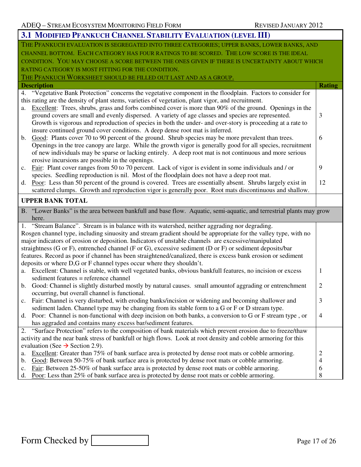| THE PFANKUCH EVALUATION IS SEGREGATED INTO THREE CATEGORIES; UPPER BANKS, LOWER BANKS, AND                                                                                                                     |                |  |  |  |  |  |
|----------------------------------------------------------------------------------------------------------------------------------------------------------------------------------------------------------------|----------------|--|--|--|--|--|
| CHANNEL BOTTOM. EACH CATEGORY HAS FOUR RATINGS TO BE SCORED. THE LOW SCORE IS THE IDEAL                                                                                                                        |                |  |  |  |  |  |
| CONDITION. YOU MAY CHOOSE A SCORE BETWEEN THE ONES GIVEN IF THERE IS UNCERTAINTY ABOUT WHICH                                                                                                                   |                |  |  |  |  |  |
| RATING CATEGORY IS MOST FITTING FOR THE CONDITION.                                                                                                                                                             |                |  |  |  |  |  |
| THE PFANKUCH WORKSHEET SHOULD BE FILLED OUT LAST AND AS A GROUP.                                                                                                                                               |                |  |  |  |  |  |
| <b>Description</b>                                                                                                                                                                                             | <b>Rating</b>  |  |  |  |  |  |
| 4. "Vegetative Bank Protection" concerns the vegetative component in the floodplain. Factors to consider for                                                                                                   |                |  |  |  |  |  |
| this rating are the density of plant stems, varieties of vegetation, plant vigor, and recruitment.                                                                                                             |                |  |  |  |  |  |
| Excellent: Trees, shrubs, grass and forbs combined cover is more than 90% of the ground. Openings in the<br>a.                                                                                                 |                |  |  |  |  |  |
| ground covers are small and evenly dispersed. A variety of age classes and species are represented.                                                                                                            | 3              |  |  |  |  |  |
| Growth is vigorous and reproduction of species in both the under- and over-story is proceeding at a rate to                                                                                                    |                |  |  |  |  |  |
| insure continued ground cover conditions. A deep dense root mat is inferred.                                                                                                                                   |                |  |  |  |  |  |
| Good: Plants cover 70 to 90 percent of the ground. Shrub species may be more prevalent than trees.<br>b.                                                                                                       | 6              |  |  |  |  |  |
| Openings in the tree canopy are large. While the growth vigor is generally good for all species, recruitment                                                                                                   |                |  |  |  |  |  |
| of new individuals may be sparse or lacking entirely. A deep root mat is not continuous and more serious                                                                                                       |                |  |  |  |  |  |
| erosive incursions are possible in the openings.                                                                                                                                                               |                |  |  |  |  |  |
| Fair: Plant cover ranges from 50 to 70 percent. Lack of vigor is evident in some individuals and / or<br>c.                                                                                                    | 9              |  |  |  |  |  |
| species. Seedling reproduction is nil. Most of the floodplain does not have a deep root mat.                                                                                                                   |                |  |  |  |  |  |
| Poor: Less than 50 percent of the ground is covered. Trees are essentially absent. Shrubs largely exist in<br>d.                                                                                               | 12             |  |  |  |  |  |
| scattered clumps. Growth and reproduction vigor is generally poor. Root mats discontinuous and shallow.                                                                                                        |                |  |  |  |  |  |
| <b>UPPER BANK TOTAL</b>                                                                                                                                                                                        |                |  |  |  |  |  |
| B. "Lower Banks" is the area between bankfull and base flow. Aquatic, semi-aquatic, and terrestrial plants may grow                                                                                            |                |  |  |  |  |  |
| here.                                                                                                                                                                                                          |                |  |  |  |  |  |
|                                                                                                                                                                                                                |                |  |  |  |  |  |
| 1.                                                                                                                                                                                                             |                |  |  |  |  |  |
| "Stream Balance". Stream is in balance with its watershed, neither aggrading nor degrading.<br>Rosgen channel type, including sinuosity and stream gradient should be appropriate for the valley type, with no |                |  |  |  |  |  |
| major indicators of erosion or deposition. Indicators of unstable channels are excessive/manipulated                                                                                                           |                |  |  |  |  |  |
| straightness (G or F), entrenched channel (F or G), excessive sediment (D or F) or sediment deposits/bar                                                                                                       |                |  |  |  |  |  |
| features. Record as poor if channel has been straightened/canalized, there is excess bank erosion or sediment                                                                                                  |                |  |  |  |  |  |
| deposits or where D,G or F channel types occur where they shouldn't.                                                                                                                                           |                |  |  |  |  |  |
| Excellent: Channel is stable, with well vegetated banks, obvious bankfull features, no incision or excess<br>a.                                                                                                | 1              |  |  |  |  |  |
| sediment features = reference channel                                                                                                                                                                          |                |  |  |  |  |  |
| b. Good: Channel is slightly disturbed mostly by natural causes. small amount of aggrading or entrenchment                                                                                                     | $\overline{2}$ |  |  |  |  |  |
| occurring, but overall channel is functional.                                                                                                                                                                  |                |  |  |  |  |  |
| c. Fair: Channel is very disturbed, with eroding banks/incision or widening and becoming shallower and                                                                                                         | 3              |  |  |  |  |  |
| sediment laden. Channel type may be changing from its stable form to a G or F or D stream type.                                                                                                                |                |  |  |  |  |  |
| Poor: Channel is non-functional with deep incision on both banks, a conversion to G or F stream type, or<br>d.                                                                                                 | $\overline{4}$ |  |  |  |  |  |
| has aggraded and contains many excess bar/sediment features.                                                                                                                                                   |                |  |  |  |  |  |
| "Surface Protection" refers to the composition of bank materials which prevent erosion due to freeze/thaw                                                                                                      |                |  |  |  |  |  |
| activity and the near bank stress of bankfull or high flows. Look at root density and cobble armoring for this                                                                                                 |                |  |  |  |  |  |
| evaluation (See $\rightarrow$ Section 2.9).                                                                                                                                                                    |                |  |  |  |  |  |
| Excellent: Greater than 75% of bank surface area is protected by dense root mats or cobble armoring.<br>a.                                                                                                     | $\overline{c}$ |  |  |  |  |  |
| Good: Between 50-75% of bank surface area is protected by dense root mats or cobble armoring.<br>b.                                                                                                            | 4              |  |  |  |  |  |
| Fair: Between 25-50% of bank surface area is protected by dense root mats or cobble armoring.<br>c.                                                                                                            | 6              |  |  |  |  |  |

## Form Checked by Page 17 of 26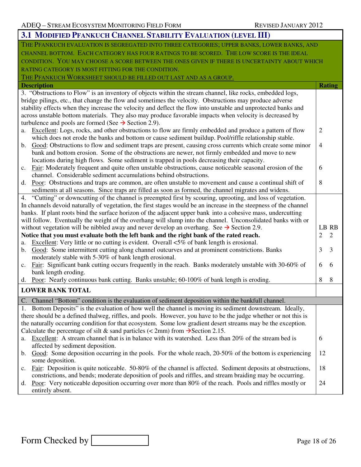|                                                                                              | 3.1 MODIFIED PFANKUCH CHANNEL STABILITY EVALUATION (LEVEL III)                                                                                                                                                      |                |                |  |  |  |  |  |  |
|----------------------------------------------------------------------------------------------|---------------------------------------------------------------------------------------------------------------------------------------------------------------------------------------------------------------------|----------------|----------------|--|--|--|--|--|--|
|                                                                                              | THE PFANKUCH EVALUATION IS SEGREGATED INTO THREE CATEGORIES; UPPER BANKS, LOWER BANKS, AND                                                                                                                          |                |                |  |  |  |  |  |  |
|                                                                                              | CHANNEL BOTTOM. EACH CATEGORY HAS FOUR RATINGS TO BE SCORED. THE LOW SCORE IS THE IDEAL                                                                                                                             |                |                |  |  |  |  |  |  |
| CONDITION. YOU MAY CHOOSE A SCORE BETWEEN THE ONES GIVEN IF THERE IS UNCERTAINTY ABOUT WHICH |                                                                                                                                                                                                                     |                |                |  |  |  |  |  |  |
|                                                                                              | RATING CATEGORY IS MOST FITTING FOR THE CONDITION.                                                                                                                                                                  |                |                |  |  |  |  |  |  |
|                                                                                              | THE PFANKUCH WORKSHEET SHOULD BE FILLED OUT LAST AND AS A GROUP.                                                                                                                                                    |                |                |  |  |  |  |  |  |
| <b>Description</b>                                                                           |                                                                                                                                                                                                                     |                | <b>Rating</b>  |  |  |  |  |  |  |
|                                                                                              | 3. "Obstructions to Flow" is an inventory of objects within the stream channel, like rocks, embedded logs,                                                                                                          |                |                |  |  |  |  |  |  |
|                                                                                              | bridge pilings, etc., that change the flow and sometimes the velocity. Obstructions may produce adverse                                                                                                             |                |                |  |  |  |  |  |  |
|                                                                                              | stability effects when they increase the velocity and deflect the flow into unstable and unprotected banks and                                                                                                      |                |                |  |  |  |  |  |  |
|                                                                                              | across unstable bottom materials. They also may produce favorable impacts when velocity is decreased by                                                                                                             |                |                |  |  |  |  |  |  |
|                                                                                              | turbulence and pools are formed (See $\rightarrow$ Section 2.9).                                                                                                                                                    |                |                |  |  |  |  |  |  |
|                                                                                              | a. Excellent: Logs, rocks, and other obstructions to flow are firmly embedded and produce a pattern of flow                                                                                                         | $\overline{2}$ |                |  |  |  |  |  |  |
|                                                                                              | which does not erode the banks and bottom or cause sediment buildup. Pool/riffle relationship stable.                                                                                                               | $\overline{4}$ |                |  |  |  |  |  |  |
| b.                                                                                           | Good: Obstructions to flow and sediment traps are present, causing cross currents which create some minor<br>bank and bottom erosion. Some of the obstructions are newer, not firmly embedded and move to new       |                |                |  |  |  |  |  |  |
|                                                                                              | locations during high flows. Some sediment is trapped in pools decreasing their capacity.                                                                                                                           |                |                |  |  |  |  |  |  |
| $c_{\cdot}$                                                                                  | Fair: Moderately frequent and quite often unstable obstructions, cause noticeable seasonal erosion of the                                                                                                           | 6              |                |  |  |  |  |  |  |
|                                                                                              | channel. Considerable sediment accumulations behind obstructions.                                                                                                                                                   |                |                |  |  |  |  |  |  |
|                                                                                              | d. Poor: Obstructions and traps are common, are often unstable to movement and cause a continual shift of                                                                                                           | 8              |                |  |  |  |  |  |  |
|                                                                                              | sediments at all seasons. Since traps are filled as soon as formed, the channel migrates and widens.                                                                                                                |                |                |  |  |  |  |  |  |
| 4.                                                                                           | "Cutting" or downcutting of the channel is preempted first by scouring, uprooting, and loss of vegetation.                                                                                                          |                |                |  |  |  |  |  |  |
|                                                                                              | In channels devoid naturally of vegetation, the first stages would be an increase in the steepness of the channel                                                                                                   |                |                |  |  |  |  |  |  |
|                                                                                              | banks. If plant roots bind the surface horizon of the adjacent upper bank into a cohesive mass, undercutting                                                                                                        |                |                |  |  |  |  |  |  |
|                                                                                              | will follow. Eventually the weight of the overhang will slump into the channel. Unconsolidated banks with or                                                                                                        |                |                |  |  |  |  |  |  |
|                                                                                              | without vegetation will be nibbled away and never develop an overhang. See $\rightarrow$ Section 2.9.                                                                                                               |                | LB RB          |  |  |  |  |  |  |
|                                                                                              | Notice that you must evaluate both the left bank and the right bank of the rated reach.                                                                                                                             | 2              | $\overline{2}$ |  |  |  |  |  |  |
| a.                                                                                           | Excellent: Very little or no cutting is evident. Overall $\leq 5\%$ of bank length is erosional.                                                                                                                    | 3              | $\overline{3}$ |  |  |  |  |  |  |
| b.                                                                                           | Good: Some intermittent cutting along channel outcurves and at prominent constrictions. Banks<br>moderately stable with 5-30% of bank length erosional.                                                             |                |                |  |  |  |  |  |  |
| c.                                                                                           | Fair: Significant bank cutting occurs frequently in the reach. Banks moderately unstable with 30-60% of                                                                                                             | 6              | 6              |  |  |  |  |  |  |
|                                                                                              | bank length eroding.                                                                                                                                                                                                |                |                |  |  |  |  |  |  |
| d.                                                                                           | Poor: Nearly continuous bank cutting. Banks unstable; 60-100% of bank length is eroding.                                                                                                                            | 8              | 8              |  |  |  |  |  |  |
|                                                                                              | <b>LOWER BANK TOTAL</b>                                                                                                                                                                                             |                |                |  |  |  |  |  |  |
|                                                                                              |                                                                                                                                                                                                                     |                |                |  |  |  |  |  |  |
|                                                                                              | C. Channel "Bottom" condition is the evaluation of sediment deposition within the bankfull channel.                                                                                                                 |                |                |  |  |  |  |  |  |
| 1.                                                                                           | Bottom Deposits" is the evaluation of how well the channel is moving its sediment downstream. Ideally,                                                                                                              |                |                |  |  |  |  |  |  |
|                                                                                              | there should be a defined thalweg, riffles, and pools. However, you have to be the judge whether or not this is                                                                                                     |                |                |  |  |  |  |  |  |
|                                                                                              | the naturally occurring condition for that ecosystem. Some low gradient desert streams may be the exception.<br>Calculate the percentage of silt & sand particles ( $\langle$ 2mm) from $\rightarrow$ Section 2.15. |                |                |  |  |  |  |  |  |
| a.                                                                                           | Excellent: A stream channel that is in balance with its watershed. Less than 20% of the stream bed is                                                                                                               | 6              |                |  |  |  |  |  |  |
|                                                                                              | affected by sediment deposition.                                                                                                                                                                                    |                |                |  |  |  |  |  |  |
| b.                                                                                           | Good: Some deposition occurring in the pools. For the whole reach, 20-50% of the bottom is experiencing                                                                                                             | 12             |                |  |  |  |  |  |  |
|                                                                                              | some deposition.                                                                                                                                                                                                    |                |                |  |  |  |  |  |  |
| $c_{\cdot}$                                                                                  | Fair: Deposition is quite noticeable. 50-80% of the channel is affected. Sediment deposits at obstructions,                                                                                                         | 18             |                |  |  |  |  |  |  |
|                                                                                              | constrictions, and bends; moderate deposition of pools and riffles, and stream braiding may be occurring.                                                                                                           |                |                |  |  |  |  |  |  |
| d.                                                                                           | Poor: Very noticeable deposition occurring over more than 80% of the reach. Pools and riffles mostly or                                                                                                             | 24             |                |  |  |  |  |  |  |
|                                                                                              | entirely absent.                                                                                                                                                                                                    |                |                |  |  |  |  |  |  |

Form Checked by Page 18 of 26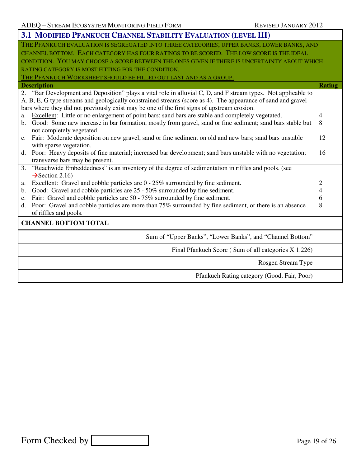| 3.1 MODIFIED PFANKUCH CHANNEL STABILITY EVALUATION (LEVEL III)                                                              |                |
|-----------------------------------------------------------------------------------------------------------------------------|----------------|
| THE PFANKUCH EVALUATION IS SEGREGATED INTO THREE CATEGORIES; UPPER BANKS, LOWER BANKS, AND                                  |                |
| CHANNEL BOTTOM. EACH CATEGORY HAS FOUR RATINGS TO BE SCORED. THE LOW SCORE IS THE IDEAL                                     |                |
| CONDITION. YOU MAY CHOOSE A SCORE BETWEEN THE ONES GIVEN IF THERE IS UNCERTAINTY ABOUT WHICH                                |                |
| RATING CATEGORY IS MOST FITTING FOR THE CONDITION.                                                                          |                |
| THE PFANKUCH WORKSHEET SHOULD BE FILLED OUT LAST AND AS A GROUP.                                                            |                |
| <b>Description</b>                                                                                                          | <b>Rating</b>  |
| "Bar Development and Deposition" plays a vital role in alluvial C, D, and F stream types. Not applicable to<br>2.           |                |
| A, B, E, G type streams and geologically constrained streams (score as 4). The appearance of sand and gravel                |                |
| bars where they did not previously exist may be one of the first signs of upstream erosion.                                 |                |
| Excellent: Little or no enlargement of point bars; sand bars are stable and completely vegetated.<br>a.                     | $\overline{4}$ |
| Good: Some new increase in bar formation, mostly from gravel, sand or fine sediment; sand bars stable but<br>$\mathbf{b}$ . | 8              |
| not completely vegetated.                                                                                                   |                |
| Fair: Moderate deposition on new gravel, sand or fine sediment on old and new bars; sand bars unstable<br>$c_{\cdot}$       | 12             |
| with sparse vegetation.                                                                                                     |                |
| Poor: Heavy deposits of fine material; increased bar development; sand bars unstable with no vegetation;<br>d.              | 16             |
| transverse bars may be present.                                                                                             |                |
| "Reachwide Embeddedness" is an inventory of the degree of sedimentation in riffles and pools. (see<br>3.                    |                |
| $\rightarrow$ Section 2.16)                                                                                                 |                |
| Excellent: Gravel and cobble particles are $0 - 25\%$ surrounded by fine sediment.<br>a.                                    | 2              |
| Good: Gravel and cobble particles are 25 - 50% surrounded by fine sediment.<br>$\mathbf{b}$ .                               | 4              |
| Fair: Gravel and cobble particles are 50 - 75% surrounded by fine sediment.<br>c.                                           | 6              |
| Poor: Gravel and cobble particles are more than 75% surrounded by fine sediment, or there is an absence<br>d.               | 8              |
| of riffles and pools.                                                                                                       |                |
| <b>CHANNEL BOTTOM TOTAL</b>                                                                                                 |                |
| Sum of "Upper Banks", "Lower Banks", and "Channel Bottom"                                                                   |                |
| Final Pfankuch Score (Sum of all categories X 1.226)                                                                        |                |
| Rosgen Stream Type                                                                                                          |                |
| Pfankuch Rating category (Good, Fair, Poor)                                                                                 |                |
|                                                                                                                             |                |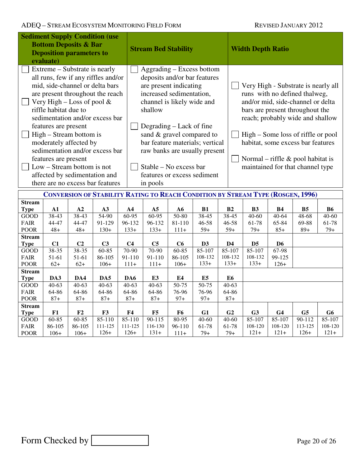| <b>Sediment Supply Condition (use</b><br><b>Bottom Deposits &amp; Bar</b><br><b>Deposition parameters to</b><br>evaluate) |                                                                                                                                                                                                                                                                                                                                                                                                                                                                                    |                |                                                                                        |                 | <b>Stream Bed Stability</b>                                                                                                                                                                                                                                                                                                                    |                 |                |                | <b>Width Depth Ratio</b> |                                                                                                                                                                                                                                                                                                                                         |                  |                |                |  |
|---------------------------------------------------------------------------------------------------------------------------|------------------------------------------------------------------------------------------------------------------------------------------------------------------------------------------------------------------------------------------------------------------------------------------------------------------------------------------------------------------------------------------------------------------------------------------------------------------------------------|----------------|----------------------------------------------------------------------------------------|-----------------|------------------------------------------------------------------------------------------------------------------------------------------------------------------------------------------------------------------------------------------------------------------------------------------------------------------------------------------------|-----------------|----------------|----------------|--------------------------|-----------------------------------------------------------------------------------------------------------------------------------------------------------------------------------------------------------------------------------------------------------------------------------------------------------------------------------------|------------------|----------------|----------------|--|
|                                                                                                                           | Extreme – Substrate is nearly<br>all runs, few if any riffles and/or<br>mid, side-channel or delta bars<br>are present throughout the reach<br>Very High – Loss of pool $&$<br>riffle habitat due to<br>sedimentation and/or excess bar<br>features are present<br>High – Stream bottom is<br>moderately affected by<br>sedimentation and/or excess bar<br>features are present<br>Low – Stream bottom is not<br>affected by sedimentation and<br>there are no excess bar features |                |                                                                                        | in pools        | Aggrading – Excess bottom<br>deposits and/or bar features<br>are present indicating<br>increased sedimentation,<br>channel is likely wide and<br>shallow<br>Degrading – Lack of fine<br>sand & gravel compared to<br>bar feature materials; vertical<br>raw banks are usually present<br>Stable – No excess bar<br>features or excess sediment |                 |                |                |                          | Very High - Substrate is nearly all<br>runs with no defined thalweg,<br>and/or mid, side-channel or delta<br>bars are present throughout the<br>reach; probably wide and shallow<br>High – Some loss of riffle or pool<br>habitat, some excess bar features<br>Normal – riffle $\&$ pool habitat is<br>maintained for that channel type |                  |                |                |  |
|                                                                                                                           |                                                                                                                                                                                                                                                                                                                                                                                                                                                                                    |                | <b>CONVERSION OF STABILITY RATING TO REACH CONDITION BY STREAM TYPE (ROSGEN, 1996)</b> |                 |                                                                                                                                                                                                                                                                                                                                                |                 |                |                |                          |                                                                                                                                                                                                                                                                                                                                         |                  |                |                |  |
| <b>Stream</b>                                                                                                             |                                                                                                                                                                                                                                                                                                                                                                                                                                                                                    |                |                                                                                        |                 |                                                                                                                                                                                                                                                                                                                                                |                 |                |                |                          |                                                                                                                                                                                                                                                                                                                                         |                  |                |                |  |
| <b>Type</b>                                                                                                               | ${\bf A1}$                                                                                                                                                                                                                                                                                                                                                                                                                                                                         | A2             | A3                                                                                     | A <sub>4</sub>  | A <sub>5</sub>                                                                                                                                                                                                                                                                                                                                 | A6              | B1             | B <sub>2</sub> |                          | <b>B3</b>                                                                                                                                                                                                                                                                                                                               | <b>B4</b>        | B <sub>5</sub> | <b>B6</b>      |  |
| GOOD<br><b>FAIR</b>                                                                                                       | 38-43<br>44-47                                                                                                                                                                                                                                                                                                                                                                                                                                                                     | 38-43<br>44-47 | 54-90<br>91-129                                                                        | 60-95<br>96-132 | 60-95<br>96-132                                                                                                                                                                                                                                                                                                                                | 50-80<br>81-110 | 38-45<br>46-58 | 38-45<br>46-58 |                          | $40 - 60$<br>61-78                                                                                                                                                                                                                                                                                                                      | $40-64$<br>65-84 | 48-68<br>69-88 | 40-60<br>61-78 |  |
| <b>POOR</b>                                                                                                               | $48+$                                                                                                                                                                                                                                                                                                                                                                                                                                                                              | $48+$          | $130+$                                                                                 | $133+$          | $133+$                                                                                                                                                                                                                                                                                                                                         | $111+$          | $59+$          | $59+$          |                          | $79+$                                                                                                                                                                                                                                                                                                                                   | $85+$            | $89+$          | $79+$          |  |
| <b>Stream</b>                                                                                                             |                                                                                                                                                                                                                                                                                                                                                                                                                                                                                    |                |                                                                                        |                 |                                                                                                                                                                                                                                                                                                                                                |                 |                |                |                          |                                                                                                                                                                                                                                                                                                                                         |                  |                |                |  |
| <b>Type</b>                                                                                                               | C1                                                                                                                                                                                                                                                                                                                                                                                                                                                                                 | C <sub>2</sub> | C <sub>3</sub>                                                                         | C <sub>4</sub>  | C <sub>5</sub>                                                                                                                                                                                                                                                                                                                                 | C6              | D3             | D4             |                          | D <sub>5</sub>                                                                                                                                                                                                                                                                                                                          | D <sub>6</sub>   |                |                |  |
| GOOD                                                                                                                      | $38 - 35$                                                                                                                                                                                                                                                                                                                                                                                                                                                                          | $38 - 35$      | $60 - 85$                                                                              | 70-90           | 70-90                                                                                                                                                                                                                                                                                                                                          | $60 - 85$       | $85 - 107$     | $85 - 107$     |                          | 85-107                                                                                                                                                                                                                                                                                                                                  | $67-98$          |                |                |  |
| <b>FAIR</b>                                                                                                               | 51-61                                                                                                                                                                                                                                                                                                                                                                                                                                                                              | 51-61          | 86-105                                                                                 | 91-110          | 91-110                                                                                                                                                                                                                                                                                                                                         | 86-105          | 108-132        | 108-132        |                          | 108-132                                                                                                                                                                                                                                                                                                                                 | 99-125           |                |                |  |
| <b>POOR</b>                                                                                                               | $62+$                                                                                                                                                                                                                                                                                                                                                                                                                                                                              | $62+$          | $106+$                                                                                 | $111 +$         | $111+$                                                                                                                                                                                                                                                                                                                                         | $106+$          | $133+$         | $133+$         |                          | $133+$                                                                                                                                                                                                                                                                                                                                  | $126+$           |                |                |  |
| <b>Stream</b>                                                                                                             |                                                                                                                                                                                                                                                                                                                                                                                                                                                                                    |                |                                                                                        |                 |                                                                                                                                                                                                                                                                                                                                                |                 |                |                |                          |                                                                                                                                                                                                                                                                                                                                         |                  |                |                |  |
| <b>Type</b>                                                                                                               | DA3                                                                                                                                                                                                                                                                                                                                                                                                                                                                                | DA4            | DA5                                                                                    | DA6             | E <sub>3</sub>                                                                                                                                                                                                                                                                                                                                 | E4              | E <sub>5</sub> | E <sub>6</sub> |                          |                                                                                                                                                                                                                                                                                                                                         |                  |                |                |  |
| GOOD                                                                                                                      | $40 - 63$                                                                                                                                                                                                                                                                                                                                                                                                                                                                          | $40 - 63$      | $40 - 63$                                                                              | $40-63$         | $40 - 63$                                                                                                                                                                                                                                                                                                                                      | $50-75$         | $50-75$        | $40 - 63$      |                          |                                                                                                                                                                                                                                                                                                                                         |                  |                |                |  |
| <b>FAIR</b>                                                                                                               | 64-86                                                                                                                                                                                                                                                                                                                                                                                                                                                                              | 64-86          | 64-86                                                                                  | 64-86           | 64-86                                                                                                                                                                                                                                                                                                                                          | 76-96           | 76-96          | 64-86          |                          |                                                                                                                                                                                                                                                                                                                                         |                  |                |                |  |
| <b>POOR</b>                                                                                                               | $87+$                                                                                                                                                                                                                                                                                                                                                                                                                                                                              | $87+$          | $87+$                                                                                  | $87+$           | $87+$                                                                                                                                                                                                                                                                                                                                          | $97+$           | $97+$          | $87+$          |                          |                                                                                                                                                                                                                                                                                                                                         |                  |                |                |  |
| <b>Stream</b>                                                                                                             |                                                                                                                                                                                                                                                                                                                                                                                                                                                                                    |                |                                                                                        |                 |                                                                                                                                                                                                                                                                                                                                                |                 |                |                |                          |                                                                                                                                                                                                                                                                                                                                         |                  |                |                |  |

**Type F1 F2 F3 F4 F5 F6 G1 G2 G3 G4 G5 G6** 

80-95 96-110 111+

40-60 61-78 79+

40-60 61-78 79+

85-107 108-120 121+

85-107 108-120 121+

90-112 113-125 126+

85-107 108-120 121+

GOOD FAIR POOR

60-85 86-105 106+

60-85 86-105 106+

85-110 111-125 126+

85-110 111-125 126+

90-115 116-130 131+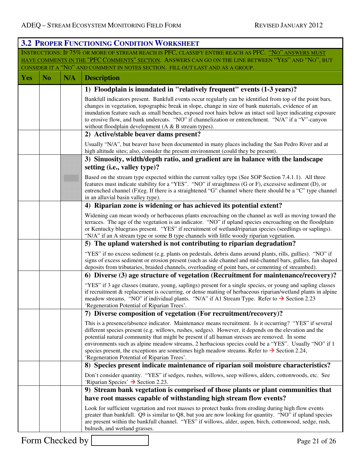|            |           |     | <b>3.2 PROPER FUNCTIONING CONDITION WORKSHEET</b>                                                                                                                                                                                                                                                                                                                                                                                                                                                                                                                                  |
|------------|-----------|-----|------------------------------------------------------------------------------------------------------------------------------------------------------------------------------------------------------------------------------------------------------------------------------------------------------------------------------------------------------------------------------------------------------------------------------------------------------------------------------------------------------------------------------------------------------------------------------------|
|            |           |     | INSTRUCTIONS: IF 75% OR MORE OF STREAM REACH IS PFC, CLASSIFY ENTIRE REACH AS PFC. "NO" ANSWERS MUST<br>HAVE COMMENTS IN THE "PFC COMMENTS" SECTION. ANSWERS CAN GO ON THE LINE BETWEEN "YES" AND "NO", BUT<br>CONSIDER IT A "NO" AND COMMENT IN NOTES SECTION. FILL OUT LAST AND AS A GROUP.                                                                                                                                                                                                                                                                                      |
| <b>Yes</b> | <b>No</b> | N/A | <b>Description</b>                                                                                                                                                                                                                                                                                                                                                                                                                                                                                                                                                                 |
|            |           |     | 1) Floodplain is inundated in "relatively frequent" events (1-3 years)?                                                                                                                                                                                                                                                                                                                                                                                                                                                                                                            |
|            |           |     | Bankfull indicators present. Bankfull events occur regularly can be identified from top of the point bars,<br>changes in vegetation, topographic break in slope, change in size of bank materials, evidence of an<br>inundation feature such as small benches, exposed root hairs below an intact soil layer indicating exposure<br>to erosive flow, and bank undercuts. "NO" if channelization or entrenchment. "N/A" if a "V"-canyon<br>without floodplain development $(A & B$ stream types).                                                                                   |
|            |           |     | 2) Active/stable beaver dams present?                                                                                                                                                                                                                                                                                                                                                                                                                                                                                                                                              |
|            |           |     | Usually "N/A", but beaver have been documented in many places including the San Pedro River and at<br>high altitude sites; also, consider the present environment (could they be present).                                                                                                                                                                                                                                                                                                                                                                                         |
|            |           |     | 3) Sinuosity, width/depth ratio, and gradient are in balance with the landscape                                                                                                                                                                                                                                                                                                                                                                                                                                                                                                    |
|            |           |     | setting (i.e., valley type)?                                                                                                                                                                                                                                                                                                                                                                                                                                                                                                                                                       |
|            |           |     | Based on the stream type expected within the current valley type (See SOP Section 7.4.1.1). All three<br>features must indicate stability for a "YES". "NO" if straightness (G or F), excessive sediment (D), or<br>entrenched channel (F)(eg. If there is a straightened "G" channel where there should be a "C" type channel<br>in an alluvial basin valley type).                                                                                                                                                                                                               |
|            |           |     | 4) Riparian zone is widening or has achieved its potential extent?                                                                                                                                                                                                                                                                                                                                                                                                                                                                                                                 |
|            |           |     | Widening can mean woody or herbaceous plants encroaching on the channel as well as moving toward the<br>terraces. The age of the vegetation is an indicator. "NO" if upland species encroaching on the floodplain<br>or Kentucky bluegrass present. "YES" if recruitment of wetland/riparian species (seedlings or saplings).<br>"N/A" if an A stream type or some B type channels with little woody riparian vegetation.                                                                                                                                                          |
|            |           |     | 5) The upland watershed is not contributing to riparian degradation?                                                                                                                                                                                                                                                                                                                                                                                                                                                                                                               |
|            |           |     | "YES" if no excess sediment (e.g. plants on pedestals, debris dams around plants, rills, gullies). "NO" if<br>signs of excess sediment or erosion present (such as side channel and mid-channel bars, gullies, fan shaped<br>deposits from tributaries, braided channels, overloading of point bars, or cementing of streambed).                                                                                                                                                                                                                                                   |
|            |           |     | 6) Diverse (3) age structure of vegetation (Recruitment for maintenance/recovery)?                                                                                                                                                                                                                                                                                                                                                                                                                                                                                                 |
|            |           |     | "YES" if 3 age classes (mature, young, saplings) present for a single species, or young and sapling classes<br>if recruitment & replacement is occurring, or dense matting of herbaceous riparian/wetland plants in alpine<br>meadow streams. "NO" if individual plants. "N/A" if A1 Stream Type. Refer to $\rightarrow$ Section 2.23<br>'Regeneration Potential of Riparian Trees'.                                                                                                                                                                                               |
|            |           |     | 7) Diverse composition of vegetation (For recruitment/recovery)?                                                                                                                                                                                                                                                                                                                                                                                                                                                                                                                   |
|            |           |     | This is a presence/absence indicator. Maintenance means recruitment. Is it occurring? "YES" if several<br>different species present (e.g. willows, rushes, sedges). However, it depends on the elevation and the<br>potential natural community that might be present if all human stresses are removed. In some<br>environments such as alpine meadow streams, 2 herbacious species could be a "YES". Usually "NO" if 1<br>species present, the exceptions are sometimes high meadow streams. Refer to $\rightarrow$ Section 2.24,<br>'Regeneration Potential of Riparian Trees'. |
|            |           |     | 8) Species present indicate maintenance of riparian soil moisture characteristics?                                                                                                                                                                                                                                                                                                                                                                                                                                                                                                 |
|            |           |     | Don't consider quantity. "YES" if sedges, rushes, willows, seep willows, alders, cottonwoods, etc. See<br>'Riparian Species' $\rightarrow$ Section 2.23.                                                                                                                                                                                                                                                                                                                                                                                                                           |
|            |           |     | 9) Stream bank vegetation is comprised of those plants or plant communities that                                                                                                                                                                                                                                                                                                                                                                                                                                                                                                   |
|            |           |     | have root masses capable of withstanding high stream flow events?                                                                                                                                                                                                                                                                                                                                                                                                                                                                                                                  |
|            |           |     | Look for sufficient vegetation and root masses to protect banks from eroding during high flow events<br>greater than bankfull. Q9 is similar to Q8, but you are now looking for quantity. "NO" if upland species<br>are present within the bankfull channel. "YES" if willows, alder, aspen, birch, cottonwood, sedge, rush,<br>bulrush, and wetland grasses.                                                                                                                                                                                                                      |

Form Checked by Page 21 of 26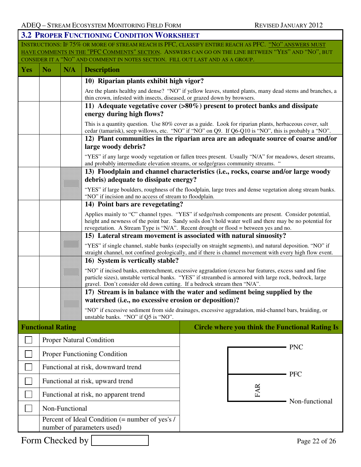|     | <b>3.2 PROPER FUNCTIONING CONDITION WORKSHEET</b>                                                                                                                                     |                           |                                                                                             |                                                                                                                                                                                                                       |  |  |  |  |
|-----|---------------------------------------------------------------------------------------------------------------------------------------------------------------------------------------|---------------------------|---------------------------------------------------------------------------------------------|-----------------------------------------------------------------------------------------------------------------------------------------------------------------------------------------------------------------------|--|--|--|--|
|     |                                                                                                                                                                                       |                           |                                                                                             | INSTRUCTIONS: IF 75% OR MORE OF STREAM REACH IS PFC, CLASSIFY ENTIRE REACH AS PFC. "NO" ANSWERS MUST                                                                                                                  |  |  |  |  |
|     | HAVE COMMENTS IN THE "PFC COMMENTS" SECTION. ANSWERS CAN GO ON THE LINE BETWEEN "YES" AND "NO", BUT<br>CONSIDER IT A "NO" AND COMMENT IN NOTES SECTION. FILL OUT LAST AND AS A GROUP. |                           |                                                                                             |                                                                                                                                                                                                                       |  |  |  |  |
| Yes | N <sub>o</sub>                                                                                                                                                                        | N/A<br><b>Description</b> |                                                                                             |                                                                                                                                                                                                                       |  |  |  |  |
|     |                                                                                                                                                                                       |                           | 10) Riparian plants exhibit high vigor?                                                     |                                                                                                                                                                                                                       |  |  |  |  |
|     |                                                                                                                                                                                       |                           |                                                                                             | Are the plants healthy and dense? "NO" if yellow leaves, stunted plants, many dead stems and branches, a                                                                                                              |  |  |  |  |
|     |                                                                                                                                                                                       |                           | thin crown, infested with insects, diseased, or grazed down by browsers.                    | 11) Adequate vegetative cover $(>80\%)$ present to protect banks and dissipate                                                                                                                                        |  |  |  |  |
|     |                                                                                                                                                                                       |                           | energy during high flows?                                                                   |                                                                                                                                                                                                                       |  |  |  |  |
|     |                                                                                                                                                                                       |                           |                                                                                             | This is a quantity question. Use 80% cover as a guide. Look for riparian plants, herbaceous cover, salt<br>cedar (tamarisk), seep willows, etc. "NO" if "NO" on Q9. If Q6-Q10 is "NO", this is probably a "NO".       |  |  |  |  |
|     |                                                                                                                                                                                       |                           | large woody debris?                                                                         | 12) Plant communities in the riparian area are an adequate source of coarse and/or                                                                                                                                    |  |  |  |  |
|     |                                                                                                                                                                                       |                           |                                                                                             | "YES" if any large woody vegetation or fallen trees present. Usually "N/A" for meadows, desert streams,<br>and probably intermediate elevation streams, or sedge/grass community streams. "                           |  |  |  |  |
|     |                                                                                                                                                                                       |                           |                                                                                             | 13) Floodplain and channel characteristics (i.e., rocks, coarse and/or large woody                                                                                                                                    |  |  |  |  |
|     |                                                                                                                                                                                       |                           | debris) adequate to dissipate energy?                                                       | "YES" if large boulders, roughness of the floodplain, large trees and dense vegetation along stream banks.                                                                                                            |  |  |  |  |
|     |                                                                                                                                                                                       |                           | "NO" if incision and no access of stream to floodplain.<br>14) Point bars are revegetating? |                                                                                                                                                                                                                       |  |  |  |  |
|     |                                                                                                                                                                                       |                           |                                                                                             | Applies mainly to "C" channel types. "YES" if sedge/rush components are present. Consider potential,                                                                                                                  |  |  |  |  |
|     |                                                                                                                                                                                       |                           |                                                                                             | height and newness of the point bar. Sandy soils don't hold water well and there may be no potential for<br>revegetation. A Stream Type is "N/A". Recent drought or flood = between yes and no.                       |  |  |  |  |
|     |                                                                                                                                                                                       |                           |                                                                                             | 15) Lateral stream movement is associated with natural sinuosity?                                                                                                                                                     |  |  |  |  |
|     |                                                                                                                                                                                       |                           |                                                                                             | "YES" if single channel, stable banks (especially on straight segments), and natural deposition. "NO" if<br>straight channel, not confined geologically, and if there is channel movement with every high flow event. |  |  |  |  |
|     |                                                                                                                                                                                       |                           | 16) System is vertically stable?                                                            |                                                                                                                                                                                                                       |  |  |  |  |
|     |                                                                                                                                                                                       |                           | gravel. Don't consider old down cutting. If a bedrock stream then "N/A".                    | "NO" if incised banks, entrenchment, excessive aggradation (excess bar features, excess sand and fine<br>particle sizes), unstable vertical banks. "YES" if streambed is armored with large rock, bedrock, large      |  |  |  |  |
|     |                                                                                                                                                                                       |                           |                                                                                             | 17) Stream is in balance with the water and sediment being supplied by the                                                                                                                                            |  |  |  |  |
|     |                                                                                                                                                                                       |                           | watershed (i.e., no excessive erosion or deposition)?                                       |                                                                                                                                                                                                                       |  |  |  |  |
|     |                                                                                                                                                                                       |                           | unstable banks. "NO" if Q5 is "NO".                                                         | "NO" if excessive sediment from side drainages, excessive aggradation, mid-channel bars, braiding, or                                                                                                                 |  |  |  |  |
|     | <b>Functional Rating</b>                                                                                                                                                              |                           |                                                                                             | <b>Circle where you think the Functional Rating Is</b>                                                                                                                                                                |  |  |  |  |
|     |                                                                                                                                                                                       |                           | <b>Proper Natural Condition</b>                                                             |                                                                                                                                                                                                                       |  |  |  |  |
|     |                                                                                                                                                                                       |                           | Proper Functioning Condition                                                                | <b>PNC</b>                                                                                                                                                                                                            |  |  |  |  |
|     |                                                                                                                                                                                       |                           | Functional at risk, downward trend                                                          |                                                                                                                                                                                                                       |  |  |  |  |
|     |                                                                                                                                                                                       |                           | Functional at risk, upward trend                                                            | <b>PFC</b>                                                                                                                                                                                                            |  |  |  |  |
|     |                                                                                                                                                                                       |                           | Functional at risk, no apparent trend                                                       | <b>FAR</b><br>Non-functional                                                                                                                                                                                          |  |  |  |  |
|     |                                                                                                                                                                                       | Non-Functional            |                                                                                             |                                                                                                                                                                                                                       |  |  |  |  |
|     |                                                                                                                                                                                       |                           | Percent of Ideal Condition (= number of yes's /<br>number of parameters used)               |                                                                                                                                                                                                                       |  |  |  |  |
|     |                                                                                                                                                                                       | Form Checked by           |                                                                                             | Page 22 of 26                                                                                                                                                                                                         |  |  |  |  |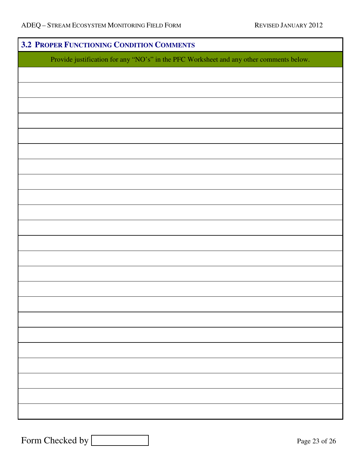| 3.2 PROPER FUNCTIONING CONDITION COMMENTS                                               |  |  |  |  |  |
|-----------------------------------------------------------------------------------------|--|--|--|--|--|
| Provide justification for any "NO's" in the PFC Worksheet and any other comments below. |  |  |  |  |  |
|                                                                                         |  |  |  |  |  |
|                                                                                         |  |  |  |  |  |
|                                                                                         |  |  |  |  |  |
|                                                                                         |  |  |  |  |  |
|                                                                                         |  |  |  |  |  |
|                                                                                         |  |  |  |  |  |
|                                                                                         |  |  |  |  |  |
|                                                                                         |  |  |  |  |  |
|                                                                                         |  |  |  |  |  |
|                                                                                         |  |  |  |  |  |
|                                                                                         |  |  |  |  |  |
|                                                                                         |  |  |  |  |  |
|                                                                                         |  |  |  |  |  |
|                                                                                         |  |  |  |  |  |
|                                                                                         |  |  |  |  |  |
|                                                                                         |  |  |  |  |  |
|                                                                                         |  |  |  |  |  |
|                                                                                         |  |  |  |  |  |
|                                                                                         |  |  |  |  |  |
|                                                                                         |  |  |  |  |  |
|                                                                                         |  |  |  |  |  |
|                                                                                         |  |  |  |  |  |
|                                                                                         |  |  |  |  |  |
|                                                                                         |  |  |  |  |  |
|                                                                                         |  |  |  |  |  |

Form Checked by Page 23 of 26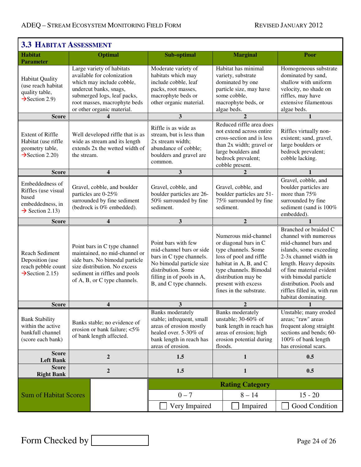$\mathsf{r}$ 

| <b>3.3 HABITAT ASSESSMENT</b>                                                                      |                                                                                                                                                                                                  |                                                                                                                                                                                                             |                                                                                                                                                                                       |                                                                                                                                                                                                                              |                                                                                                                                                                              |                                                                                                                                                                                                                                                                                            |  |  |  |
|----------------------------------------------------------------------------------------------------|--------------------------------------------------------------------------------------------------------------------------------------------------------------------------------------------------|-------------------------------------------------------------------------------------------------------------------------------------------------------------------------------------------------------------|---------------------------------------------------------------------------------------------------------------------------------------------------------------------------------------|------------------------------------------------------------------------------------------------------------------------------------------------------------------------------------------------------------------------------|------------------------------------------------------------------------------------------------------------------------------------------------------------------------------|--------------------------------------------------------------------------------------------------------------------------------------------------------------------------------------------------------------------------------------------------------------------------------------------|--|--|--|
| <b>Habitat</b><br><b>Parameter</b>                                                                 |                                                                                                                                                                                                  | <b>Optimal</b>                                                                                                                                                                                              | Sub-optimal                                                                                                                                                                           |                                                                                                                                                                                                                              | <b>Marginal</b>                                                                                                                                                              | Poor                                                                                                                                                                                                                                                                                       |  |  |  |
| <b>Habitat Quality</b><br>(use reach habitat<br>quality table,<br>$\rightarrow$ Section 2.9)       |                                                                                                                                                                                                  | Large variety of habitats<br>available for colonization<br>which may include cobble,<br>undercut banks, snags,<br>submerged logs, leaf packs,<br>root masses, macrophyte beds<br>or other organic material. | Moderate variety of<br>habitats which may<br>include cobble, leaf<br>packs, root masses,<br>macrophyte beds or<br>other organic material.                                             |                                                                                                                                                                                                                              | Habitat has minimal<br>variety, substrate<br>dominated by one<br>particle size, may have<br>some cobble,<br>macrophyte beds, or<br>algae beds.                               | Homogeneous substrate<br>dominated by sand,<br>shallow with uniform<br>velocity, no shade on<br>riffles, may have<br>extensive filamentous<br>algae beds.                                                                                                                                  |  |  |  |
| <b>Score</b>                                                                                       |                                                                                                                                                                                                  |                                                                                                                                                                                                             | 3                                                                                                                                                                                     | $\overline{2}$                                                                                                                                                                                                               |                                                                                                                                                                              | 1                                                                                                                                                                                                                                                                                          |  |  |  |
| <b>Extent of Riffle</b><br>Habitat (use riffle<br>geometry table,<br>$\rightarrow$ Section 2.20)   | Well developed riffle that is as<br>wide as stream and its length<br>extends 2x the wetted width of<br>the stream.                                                                               |                                                                                                                                                                                                             | Riffle is as wide as<br>stream, but is less than<br>2x stream width;<br>abundance of cobble;<br>boulders and gravel are<br>common.                                                    |                                                                                                                                                                                                                              | Reduced riffle area does<br>not extend across entire<br>cross-section and is less<br>than 2x width; gravel or<br>large boulders and<br>bedrock prevalent;<br>cobble present. | Riffles virtually non-<br>existent; sand, gravel,<br>large boulders or<br>bedrock prevalent;<br>cobble lacking.                                                                                                                                                                            |  |  |  |
| <b>Score</b>                                                                                       |                                                                                                                                                                                                  | $\overline{\mathbf{4}}$                                                                                                                                                                                     | $\mathbf{3}$                                                                                                                                                                          |                                                                                                                                                                                                                              | $\overline{2}$                                                                                                                                                               | $\mathbf{1}$                                                                                                                                                                                                                                                                               |  |  |  |
| Embeddedness of<br>Riffles (use visual<br>based<br>embeddedness, in<br>$\rightarrow$ Section 2.13) | Gravel, cobble, and boulder<br>particles are 0-25%<br>surrounded by fine sediment<br>(bedrock is 0% embedded).                                                                                   |                                                                                                                                                                                                             | Gravel, cobble, and<br>boulder particles are 26-<br>50% surrounded by fine<br>sediment.                                                                                               | Gravel, cobble, and<br>boulder particles are 51-<br>75% surrounded by fine<br>sediment.                                                                                                                                      |                                                                                                                                                                              | Gravel, cobble, and<br>boulder particles are<br>more than 75%<br>surrounded by fine<br>sediment (sand is 100%<br>embedded).                                                                                                                                                                |  |  |  |
| <b>Score</b>                                                                                       | $\overline{\mathbf{4}}$                                                                                                                                                                          |                                                                                                                                                                                                             | 3                                                                                                                                                                                     | $\mathbf{2}$                                                                                                                                                                                                                 |                                                                                                                                                                              |                                                                                                                                                                                                                                                                                            |  |  |  |
| Reach Sediment<br>Deposition (use<br>reach pebble count<br>$\rightarrow$ Section 2.15)             | Point bars in C type channel<br>maintained, no mid-channel or<br>side bars. No bimodal particle<br>size distribution. No excess<br>sediment in riffles and pools<br>of A, B, or C type channels. |                                                                                                                                                                                                             | Point bars with few<br>mid-channel bars or side<br>bars in C type channels.<br>No bimodal particle size<br>distribution. Some<br>filling in of pools in A,<br>B, and C type channels. | Numerous mid-channel<br>or diagonal bars in C<br>type channels. Some<br>loss of pool and riffle<br>habitat in A, B, and C<br>type channels. Bimodal<br>distribution may be<br>present with excess<br>fines in the substrate. |                                                                                                                                                                              | Branched or braided C<br>channel with numerous<br>mid-channel bars and<br>islands, some exceeding<br>2-3x channel width in<br>length. Heavy deposits<br>of fine material evident<br>with bimodal particle<br>distribution. Pools and<br>riffles filled in, with run<br>habitat dominating. |  |  |  |
| <b>Score</b>                                                                                       | $\boldsymbol{4}$                                                                                                                                                                                 |                                                                                                                                                                                                             | 3                                                                                                                                                                                     | $\overline{2}$                                                                                                                                                                                                               |                                                                                                                                                                              | $\mathbf{1}$                                                                                                                                                                                                                                                                               |  |  |  |
| <b>Bank Stability</b><br>within the active<br>bankfull channel<br>(score each bank)                | Banks stable; no evidence of<br>erosion or bank failure; <5%<br>of bank length affected.                                                                                                         |                                                                                                                                                                                                             | <b>Banks</b> moderately<br>stable; infrequent, small<br>areas of erosion mostly<br>healed over. 5-30% of<br>bank length in reach has<br>areas of erosion.                             | <b>Banks</b> moderately<br>unstable; 30-60% of<br>bank length in reach has<br>areas of erosion; high<br>erosion potential during<br>floods.                                                                                  |                                                                                                                                                                              | Unstable; many eroded<br>areas; "raw" areas<br>frequent along straight<br>sections and bends; 60-<br>100% of bank length<br>has erosional scars.                                                                                                                                           |  |  |  |
| <b>Score</b><br><b>Left Bank</b>                                                                   |                                                                                                                                                                                                  | $\boldsymbol{2}$                                                                                                                                                                                            | 1.5<br>$\mathbf{1}$                                                                                                                                                                   |                                                                                                                                                                                                                              |                                                                                                                                                                              | 0.5                                                                                                                                                                                                                                                                                        |  |  |  |
| <b>Score</b><br><b>Right Bank</b>                                                                  |                                                                                                                                                                                                  | $\boldsymbol{2}$                                                                                                                                                                                            | 1.5                                                                                                                                                                                   | $\mathbf{1}$                                                                                                                                                                                                                 |                                                                                                                                                                              | 0.5                                                                                                                                                                                                                                                                                        |  |  |  |
| <b>Sum of Habitat Scores</b>                                                                       |                                                                                                                                                                                                  | <b>Rating Category</b>                                                                                                                                                                                      |                                                                                                                                                                                       |                                                                                                                                                                                                                              |                                                                                                                                                                              |                                                                                                                                                                                                                                                                                            |  |  |  |
|                                                                                                    |                                                                                                                                                                                                  | $0 - 7$                                                                                                                                                                                                     |                                                                                                                                                                                       | $8 - 14$                                                                                                                                                                                                                     | $15 - 20$                                                                                                                                                                    |                                                                                                                                                                                                                                                                                            |  |  |  |
|                                                                                                    |                                                                                                                                                                                                  |                                                                                                                                                                                                             | Very Impaired                                                                                                                                                                         |                                                                                                                                                                                                                              | Impaired                                                                                                                                                                     | Good Condition                                                                                                                                                                                                                                                                             |  |  |  |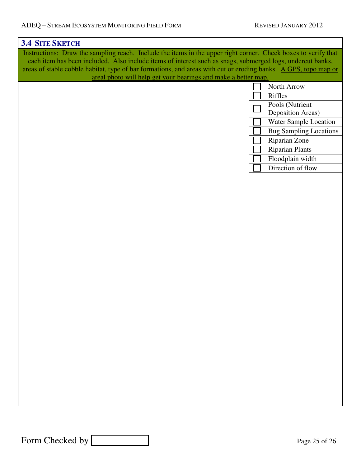| <b>3.4 SITE SKETCH</b>                                                                                          |                                      |  |  |  |  |  |  |
|-----------------------------------------------------------------------------------------------------------------|--------------------------------------|--|--|--|--|--|--|
| Instructions: Draw the sampling reach. Include the items in the upper right corner. Check boxes to verify that  |                                      |  |  |  |  |  |  |
| each item has been included. Also include items of interest such as snags, submerged logs, undercut banks,      |                                      |  |  |  |  |  |  |
| areas of stable cobble habitat, type of bar formations, and areas with cut or eroding banks. A GPS, topo map or |                                      |  |  |  |  |  |  |
| areal photo will help get your bearings and make a better map.                                                  |                                      |  |  |  |  |  |  |
|                                                                                                                 | North Arrow                          |  |  |  |  |  |  |
|                                                                                                                 | Riffles                              |  |  |  |  |  |  |
|                                                                                                                 | Pools (Nutrient<br>Deposition Areas) |  |  |  |  |  |  |
|                                                                                                                 | Water Sample Location                |  |  |  |  |  |  |
|                                                                                                                 | <b>Bug Sampling Locations</b>        |  |  |  |  |  |  |
|                                                                                                                 | Riparian Zone                        |  |  |  |  |  |  |
|                                                                                                                 | <b>Riparian Plants</b>               |  |  |  |  |  |  |
|                                                                                                                 | Floodplain width                     |  |  |  |  |  |  |
|                                                                                                                 | Direction of flow                    |  |  |  |  |  |  |
|                                                                                                                 |                                      |  |  |  |  |  |  |
|                                                                                                                 |                                      |  |  |  |  |  |  |
|                                                                                                                 |                                      |  |  |  |  |  |  |
|                                                                                                                 |                                      |  |  |  |  |  |  |
|                                                                                                                 |                                      |  |  |  |  |  |  |
|                                                                                                                 |                                      |  |  |  |  |  |  |
|                                                                                                                 |                                      |  |  |  |  |  |  |
|                                                                                                                 |                                      |  |  |  |  |  |  |
|                                                                                                                 |                                      |  |  |  |  |  |  |
|                                                                                                                 |                                      |  |  |  |  |  |  |
|                                                                                                                 |                                      |  |  |  |  |  |  |
|                                                                                                                 |                                      |  |  |  |  |  |  |
|                                                                                                                 |                                      |  |  |  |  |  |  |
|                                                                                                                 |                                      |  |  |  |  |  |  |
|                                                                                                                 |                                      |  |  |  |  |  |  |
|                                                                                                                 |                                      |  |  |  |  |  |  |
|                                                                                                                 |                                      |  |  |  |  |  |  |
|                                                                                                                 |                                      |  |  |  |  |  |  |
|                                                                                                                 |                                      |  |  |  |  |  |  |
|                                                                                                                 |                                      |  |  |  |  |  |  |
|                                                                                                                 |                                      |  |  |  |  |  |  |
|                                                                                                                 |                                      |  |  |  |  |  |  |
|                                                                                                                 |                                      |  |  |  |  |  |  |
|                                                                                                                 |                                      |  |  |  |  |  |  |
|                                                                                                                 |                                      |  |  |  |  |  |  |
|                                                                                                                 |                                      |  |  |  |  |  |  |